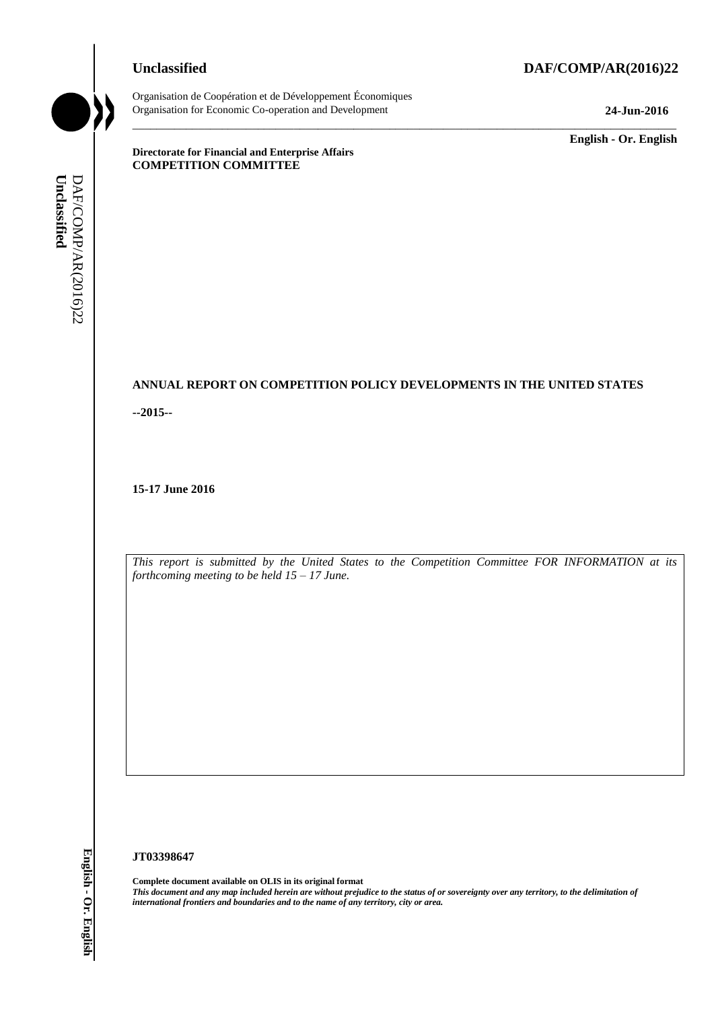## **Unclassified DAF/COMP/AR(2016)22**



Organisation de Coopération et de Développement Économiques Organisation for Economic Co-operation and Development **24-Jun-2016**

\_\_\_\_\_\_\_\_\_\_\_\_\_ **English - Or. English**

**Directorate for Financial and Enterprise Affairs COMPETITION COMMITTEE**

# **ANNUAL REPORT ON COMPETITION POLICY DEVELOPMENTS IN THE UNITED STATES**

\_\_\_\_\_\_\_\_\_\_\_\_\_\_\_\_\_\_\_\_\_\_\_\_\_\_\_\_\_\_\_\_\_\_\_\_\_\_\_\_\_\_\_\_\_\_\_\_\_\_\_\_\_\_\_\_\_\_\_\_\_\_\_\_\_\_\_\_\_\_\_\_\_\_\_\_\_\_\_\_\_\_\_\_\_\_\_\_\_\_\_

**--2015--**

**15-17 June 2016**

*This report is submitted by the United States to the Competition Committee FOR INFORMATION at its forthcoming meeting to be held 15 – 17 June.*

#### **JT03398647**

**Complete document available on OLIS in its original format** *This document and any map included herein are without prejudice to the status of or sovereignty over any territory, to the delimitation of international frontiers and boundaries and to the name of any territory, city or area.* **Unclassified** DAF/COMP/AR(2016)22 **English - Or. English**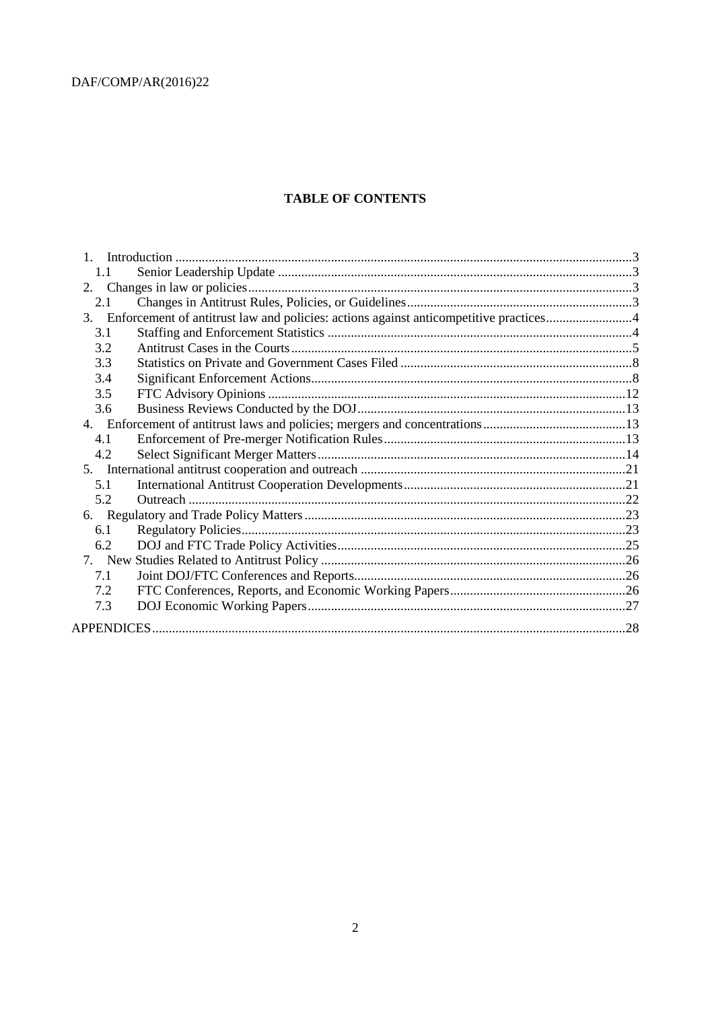# **TABLE OF CONTENTS**

| 1.1 |  |  |  |
|-----|--|--|--|
|     |  |  |  |
| 2.1 |  |  |  |
|     |  |  |  |
| 3.1 |  |  |  |
| 3.2 |  |  |  |
| 3.3 |  |  |  |
| 3.4 |  |  |  |
| 3.5 |  |  |  |
| 3.6 |  |  |  |
|     |  |  |  |
| 4.1 |  |  |  |
| 4.2 |  |  |  |
|     |  |  |  |
| 5.1 |  |  |  |
| 5.2 |  |  |  |
|     |  |  |  |
| 6.1 |  |  |  |
| 6.2 |  |  |  |
|     |  |  |  |
| 7.1 |  |  |  |
| 7.2 |  |  |  |
| 7.3 |  |  |  |
|     |  |  |  |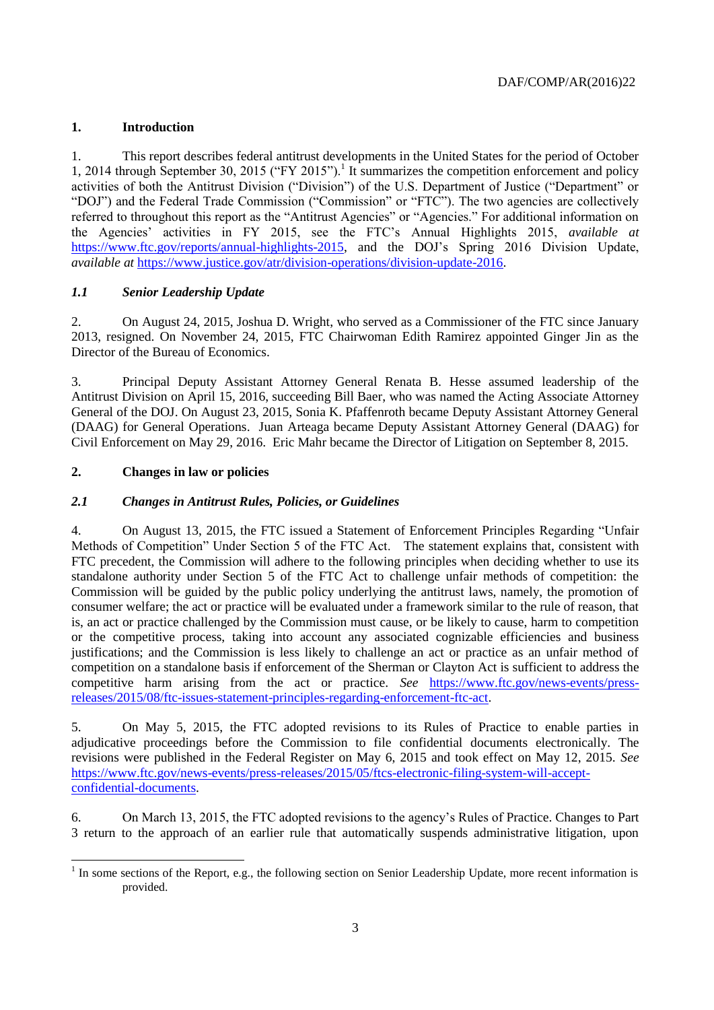# <span id="page-2-0"></span>**1. Introduction**

1. This report describes federal antitrust developments in the United States for the period of October 1, 2014 through September 30, 2015 ("FY 2015").<sup>1</sup> It summarizes the competition enforcement and policy activities of both the Antitrust Division ("Division") of the U.S. Department of Justice ("Department" or "DOJ") and the Federal Trade Commission ("Commission" or "FTC"). The two agencies are collectively referred to throughout this report as the "Antitrust Agencies" or "Agencies." For additional information on the Agencies' activities in FY 2015, see the FTC's Annual Highlights 2015, *available at* [https://www.ftc.gov/reports/annual-highlights-2015,](https://www.ftc.gov/reports/annual-highlights-2015) and the DOJ's Spring 2016 Division Update, *available at* [https://www.justice.gov/atr/division-operations/division-update-2016.](https://www.justice.gov/atr/division-operations/division-update-2016)

# <span id="page-2-1"></span>*1.1 Senior Leadership Update*

2. On August 24, 2015, Joshua D. Wright, who served as a Commissioner of the FTC since January 2013, resigned. On November 24, 2015, FTC Chairwoman Edith Ramirez appointed Ginger Jin as the Director of the Bureau of Economics.

3. Principal Deputy Assistant Attorney General Renata B. Hesse assumed leadership of the Antitrust Division on April 15, 2016, succeeding Bill Baer, who was named the Acting Associate Attorney General of the DOJ. On August 23, 2015, Sonia K. Pfaffenroth became Deputy Assistant Attorney General (DAAG) for General Operations. Juan Arteaga became Deputy Assistant Attorney General (DAAG) for Civil Enforcement on May 29, 2016. Eric Mahr became the Director of Litigation on September 8, 2015.

# <span id="page-2-2"></span>**2. Changes in law or policies**

# <span id="page-2-3"></span>*2.1 Changes in Antitrust Rules, Policies, or Guidelines*

4. On August 13, 2015, the FTC issued a Statement of Enforcement Principles Regarding "Unfair Methods of Competition" Under Section 5 of the FTC Act. The statement explains that, consistent with FTC precedent, the Commission will adhere to the following principles when deciding whether to use its standalone authority under Section 5 of the FTC Act to challenge unfair methods of competition: the Commission will be guided by the public policy underlying the antitrust laws, namely, the promotion of consumer welfare; the act or practice will be evaluated under a framework similar to the rule of reason, that is, an act or practice challenged by the Commission must cause, or be likely to cause, harm to competition or the competitive process, taking into account any associated cognizable efficiencies and business justifications; and the Commission is less likely to challenge an act or practice as an unfair method of competition on a standalone basis if enforcement of the Sherman or Clayton Act is sufficient to address the competitive harm arising from the act or practice. *See* [https://www.ftc.gov/news-events/press](https://www.ftc.gov/news-events/press-releases/2015/08/ftc-issues-statement-principles-regarding-enforcement-ftc-act)[releases/2015/08/ftc-issues-statement-principles-regarding-enforcement-ftc-act.](https://www.ftc.gov/news-events/press-releases/2015/08/ftc-issues-statement-principles-regarding-enforcement-ftc-act)

5. On May 5, 2015, the FTC adopted revisions to its Rules of Practice to enable parties in adjudicative proceedings before the Commission to file confidential documents electronically. The revisions were published in the Federal Register on May 6, 2015 and took effect on May 12, 2015. *See* [https://www.ftc.gov/news-events/press-releases/2015/05/ftcs-electronic-filing-system-will-accept](https://www.ftc.gov/news-events/press-releases/2015/05/ftcs-electronic-filing-system-will-accept-confidential-documents)[confidential-documents.](https://www.ftc.gov/news-events/press-releases/2015/05/ftcs-electronic-filing-system-will-accept-confidential-documents)

6. On March 13, 2015, the FTC adopted revisions to the agency's Rules of Practice. Changes to Part 3 return to the approach of an earlier rule that automatically suspends administrative litigation, upon

l  $<sup>1</sup>$  In some sections of the Report, e.g., the following section on Senior Leadership Update, more recent information is</sup> provided.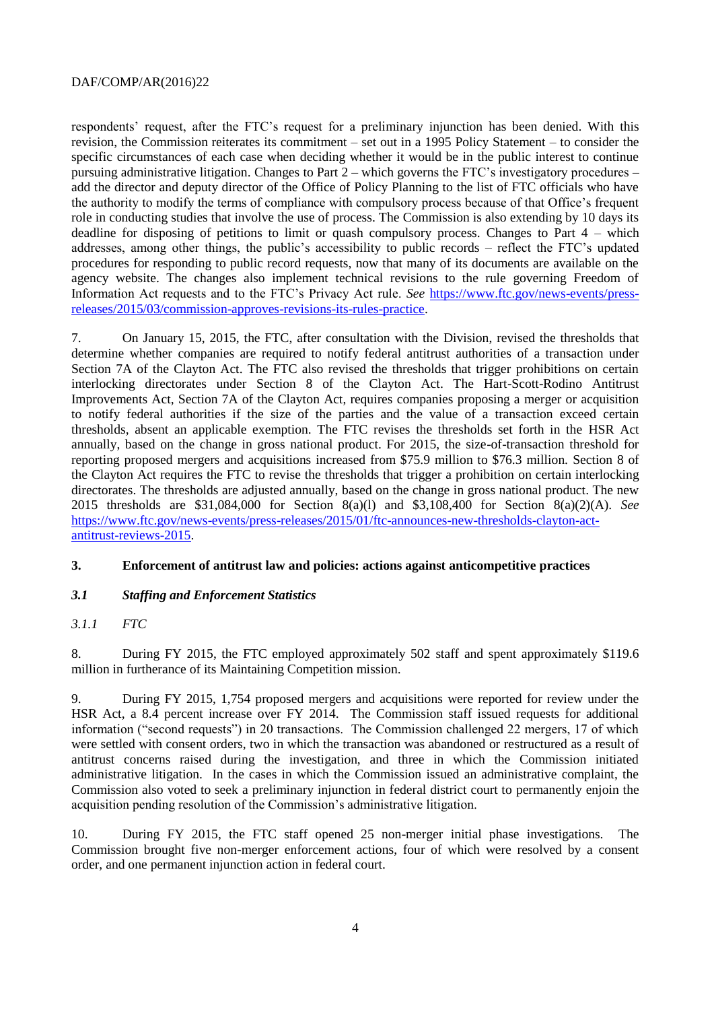respondents' request, after the FTC's request for a preliminary injunction has been denied. With this revision, the Commission reiterates its commitment – set out in a 1995 Policy Statement – to consider the specific circumstances of each case when deciding whether it would be in the public interest to continue pursuing administrative litigation. Changes to Part 2 – which governs the FTC's investigatory procedures – add the director and deputy director of the Office of Policy Planning to the list of FTC officials who have the authority to modify the terms of compliance with compulsory process because of that Office's frequent role in conducting studies that involve the use of process. The Commission is also extending by 10 days its deadline for disposing of petitions to limit or quash compulsory process. Changes to Part 4 – which addresses, among other things, the public's accessibility to public records – reflect the FTC's updated procedures for responding to public record requests, now that many of its documents are available on the agency website. The changes also implement technical revisions to the rule governing Freedom of Information Act requests and to the FTC's Privacy Act rule. *See* [https://www.ftc.gov/news-events/press](https://www.ftc.gov/news-events/press-releases/2015/03/commission-approves-revisions-its-rules-practice)[releases/2015/03/commission-approves-revisions-its-rules-practice.](https://www.ftc.gov/news-events/press-releases/2015/03/commission-approves-revisions-its-rules-practice)

7. On January 15, 2015, the FTC, after consultation with the Division, revised the thresholds that determine whether companies are required to notify federal antitrust authorities of a transaction under Section 7A of the Clayton Act. The FTC also revised the thresholds that trigger prohibitions on certain interlocking directorates under Section 8 of the Clayton Act. The Hart-Scott-Rodino Antitrust Improvements Act, Section 7A of the Clayton Act, requires companies proposing a merger or acquisition to notify federal authorities if the size of the parties and the value of a transaction exceed certain thresholds, absent an applicable exemption. The FTC revises the thresholds set forth in the HSR Act annually, based on the change in gross national product. For 2015, the size-of-transaction threshold for reporting proposed mergers and acquisitions increased from \$75.9 million to \$76.3 million. Section 8 of the Clayton Act requires the FTC to revise the thresholds that trigger a prohibition on certain interlocking directorates. The thresholds are adjusted annually, based on the change in gross national product. The new 2015 thresholds are \$31,084,000 for Section 8(a)(l) and \$3,108,400 for Section 8(a)(2)(A). *See* [https://www.ftc.gov/news-events/press-releases/2015/01/ftc-announces-new-thresholds-clayton-act](https://www.ftc.gov/news-events/press-releases/2015/01/ftc-announces-new-thresholds-clayton-act-antitrust-reviews-2015)[antitrust-reviews-2015.](https://www.ftc.gov/news-events/press-releases/2015/01/ftc-announces-new-thresholds-clayton-act-antitrust-reviews-2015)

#### <span id="page-3-0"></span>**3. Enforcement of antitrust law and policies: actions against anticompetitive practices**

# <span id="page-3-1"></span>*3.1 Staffing and Enforcement Statistics*

# *3.1.1 FTC*

8. During FY 2015, the FTC employed approximately 502 staff and spent approximately \$119.6 million in furtherance of its Maintaining Competition mission.

9. During FY 2015, 1,754 proposed mergers and acquisitions were reported for review under the HSR Act, a 8.4 percent increase over FY 2014. The Commission staff issued requests for additional information ("second requests") in 20 transactions. The Commission challenged 22 mergers, 17 of which were settled with consent orders, two in which the transaction was abandoned or restructured as a result of antitrust concerns raised during the investigation, and three in which the Commission initiated administrative litigation. In the cases in which the Commission issued an administrative complaint, the Commission also voted to seek a preliminary injunction in federal district court to permanently enjoin the acquisition pending resolution of the Commission's administrative litigation.

10. During FY 2015, the FTC staff opened 25 non-merger initial phase investigations. The Commission brought five non-merger enforcement actions, four of which were resolved by a consent order, and one permanent injunction action in federal court.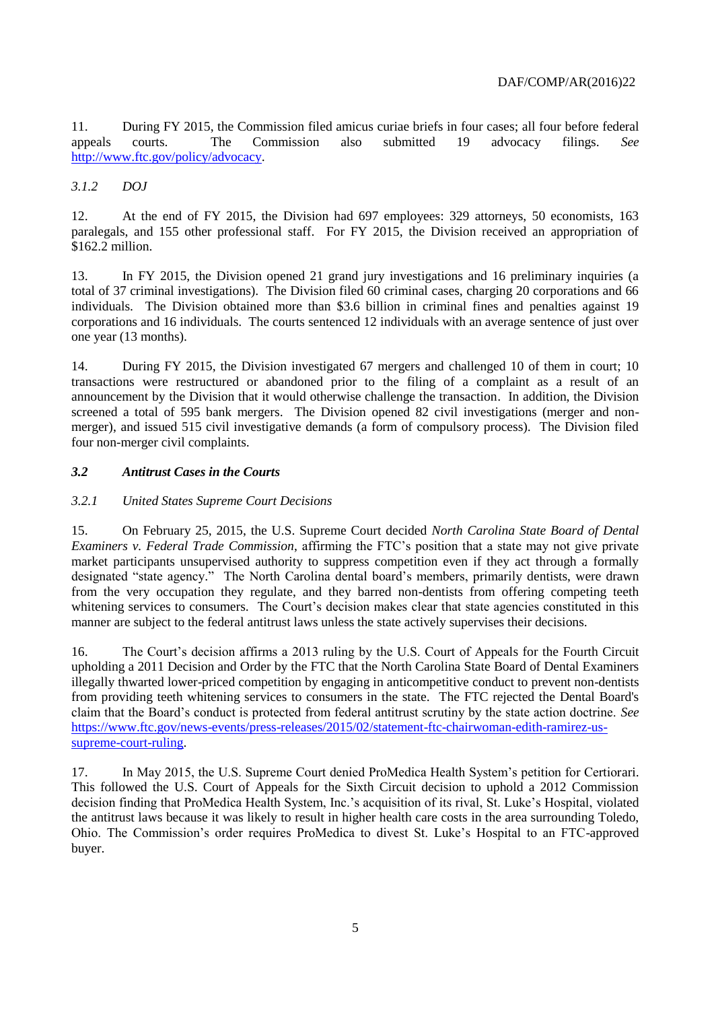11. During FY 2015, the Commission filed amicus curiae briefs in four cases; all four before federal appeals courts. The Commission also submitted 19 advocacy filings. *See* [http://www.ftc.gov/policy/advocacy.](http://www.ftc.gov/policy/advocacy)

## *3.1.2 DOJ*

12. At the end of FY 2015, the Division had 697 employees: 329 attorneys, 50 economists, 163 paralegals, and 155 other professional staff. For FY 2015, the Division received an appropriation of \$162.2 million.

13. In FY 2015, the Division opened 21 grand jury investigations and 16 preliminary inquiries (a total of 37 criminal investigations). The Division filed 60 criminal cases, charging 20 corporations and 66 individuals. The Division obtained more than \$3.6 billion in criminal fines and penalties against 19 corporations and 16 individuals. The courts sentenced 12 individuals with an average sentence of just over one year (13 months).

14. During FY 2015, the Division investigated 67 mergers and challenged 10 of them in court; 10 transactions were restructured or abandoned prior to the filing of a complaint as a result of an announcement by the Division that it would otherwise challenge the transaction. In addition, the Division screened a total of 595 bank mergers. The Division opened 82 civil investigations (merger and nonmerger), and issued 515 civil investigative demands (a form of compulsory process). The Division filed four non-merger civil complaints.

#### <span id="page-4-0"></span>*3.2 Antitrust Cases in the Courts*

#### *3.2.1 United States Supreme Court Decisions*

15. On February 25, 2015, the U.S. Supreme Court decided *North Carolina State Board of Dental Examiners v. Federal Trade Commission*, affirming the FTC's position that a state may not give private market participants unsupervised authority to suppress competition even if they act through a formally designated "state agency." The North Carolina dental board's members, primarily dentists, were drawn from the very occupation they regulate, and they barred non-dentists from offering competing teeth whitening services to consumers. The Court's decision makes clear that state agencies constituted in this manner are subject to the federal antitrust laws unless the state actively supervises their decisions.

16. The Court's decision affirms a 2013 ruling by the U.S. Court of Appeals for the Fourth Circuit upholding a 2011 Decision and Order by the FTC that the North Carolina State Board of Dental Examiners illegally thwarted lower-priced competition by engaging in anticompetitive conduct to prevent non-dentists from providing teeth whitening services to consumers in the state. The FTC rejected the Dental Board's claim that the Board's conduct is protected from federal antitrust scrutiny by the state action doctrine. *See* [https://www.ftc.gov/news-events/press-releases/2015/02/statement-ftc-chairwoman-edith-ramirez-us](https://www.ftc.gov/news-events/press-releases/2015/02/statement-ftc-chairwoman-edith-ramirez-us-supreme-court-ruling)[supreme-court-ruling.](https://www.ftc.gov/news-events/press-releases/2015/02/statement-ftc-chairwoman-edith-ramirez-us-supreme-court-ruling)

17. In May 2015, the U.S. Supreme Court denied ProMedica Health System's petition for Certiorari. This followed the U.S. Court of Appeals for the Sixth Circuit decision to uphold a 2012 Commission decision finding that ProMedica Health System, Inc.'s acquisition of its rival, St. Luke's Hospital, violated the antitrust laws because it was likely to result in higher health care costs in the area surrounding Toledo, Ohio. The Commission's order requires ProMedica to divest St. Luke's Hospital to an FTC-approved buyer.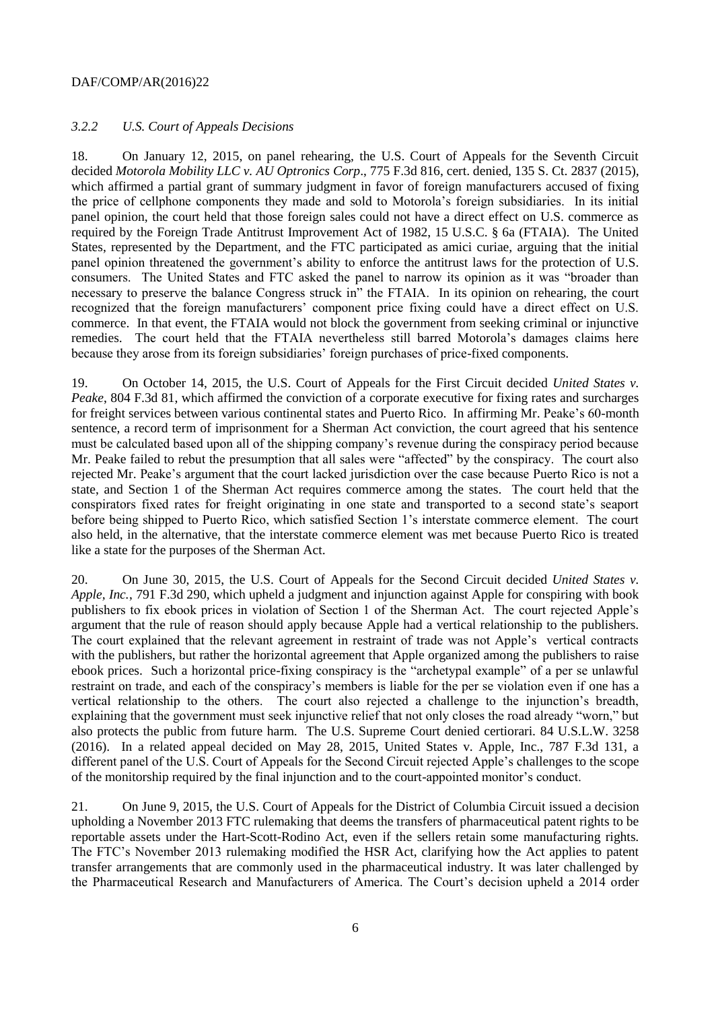#### *3.2.2 U.S. Court of Appeals Decisions*

18. On January 12, 2015, on panel rehearing, the U.S. Court of Appeals for the Seventh Circuit decided *Motorola Mobility LLC v. AU Optronics Corp*., 775 F.3d 816, cert. denied, 135 S. Ct. 2837 (2015), which affirmed a partial grant of summary judgment in favor of foreign manufacturers accused of fixing the price of cellphone components they made and sold to Motorola's foreign subsidiaries. In its initial panel opinion, the court held that those foreign sales could not have a direct effect on U.S. commerce as required by the Foreign Trade Antitrust Improvement Act of 1982, 15 U.S.C. § 6a (FTAIA). The United States, represented by the Department, and the FTC participated as amici curiae, arguing that the initial panel opinion threatened the government's ability to enforce the antitrust laws for the protection of U.S. consumers. The United States and FTC asked the panel to narrow its opinion as it was "broader than necessary to preserve the balance Congress struck in" the FTAIA. In its opinion on rehearing, the court recognized that the foreign manufacturers' component price fixing could have a direct effect on U.S. commerce. In that event, the FTAIA would not block the government from seeking criminal or injunctive remedies. The court held that the FTAIA nevertheless still barred Motorola's damages claims here because they arose from its foreign subsidiaries' foreign purchases of price-fixed components.

19. On October 14, 2015, the U.S. Court of Appeals for the First Circuit decided *United States v. Peake*, 804 F.3d 81, which affirmed the conviction of a corporate executive for fixing rates and surcharges for freight services between various continental states and Puerto Rico. In affirming Mr. Peake's 60-month sentence, a record term of imprisonment for a Sherman Act conviction, the court agreed that his sentence must be calculated based upon all of the shipping company's revenue during the conspiracy period because Mr. Peake failed to rebut the presumption that all sales were "affected" by the conspiracy. The court also rejected Mr. Peake's argument that the court lacked jurisdiction over the case because Puerto Rico is not a state, and Section 1 of the Sherman Act requires commerce among the states. The court held that the conspirators fixed rates for freight originating in one state and transported to a second state's seaport before being shipped to Puerto Rico, which satisfied Section 1's interstate commerce element. The court also held, in the alternative, that the interstate commerce element was met because Puerto Rico is treated like a state for the purposes of the Sherman Act.

20. On June 30, 2015, the U.S. Court of Appeals for the Second Circuit decided *United States v. Apple, Inc.*, 791 F.3d 290, which upheld a judgment and injunction against Apple for conspiring with book publishers to fix ebook prices in violation of Section 1 of the Sherman Act. The court rejected Apple's argument that the rule of reason should apply because Apple had a vertical relationship to the publishers. The court explained that the relevant agreement in restraint of trade was not Apple's vertical contracts with the publishers, but rather the horizontal agreement that Apple organized among the publishers to raise ebook prices. Such a horizontal price-fixing conspiracy is the "archetypal example" of a per se unlawful restraint on trade, and each of the conspiracy's members is liable for the per se violation even if one has a vertical relationship to the others. The court also rejected a challenge to the injunction's breadth, explaining that the government must seek injunctive relief that not only closes the road already "worn," but also protects the public from future harm. The U.S. Supreme Court denied certiorari. 84 U.S.L.W. 3258 (2016). In a related appeal decided on May 28, 2015, United States v. Apple, Inc., 787 F.3d 131, a different panel of the U.S. Court of Appeals for the Second Circuit rejected Apple's challenges to the scope of the monitorship required by the final injunction and to the court-appointed monitor's conduct.

21. On June 9, 2015, the U.S. Court of Appeals for the District of Columbia Circuit issued a decision upholding a November 2013 FTC rulemaking that deems the transfers of pharmaceutical patent rights to be reportable assets under the Hart-Scott-Rodino Act, even if the sellers retain some manufacturing rights. The FTC's November 2013 rulemaking modified the HSR Act, clarifying how the Act applies to patent transfer arrangements that are commonly used in the pharmaceutical industry. It was later challenged by the Pharmaceutical Research and Manufacturers of America. The Court's decision upheld a 2014 order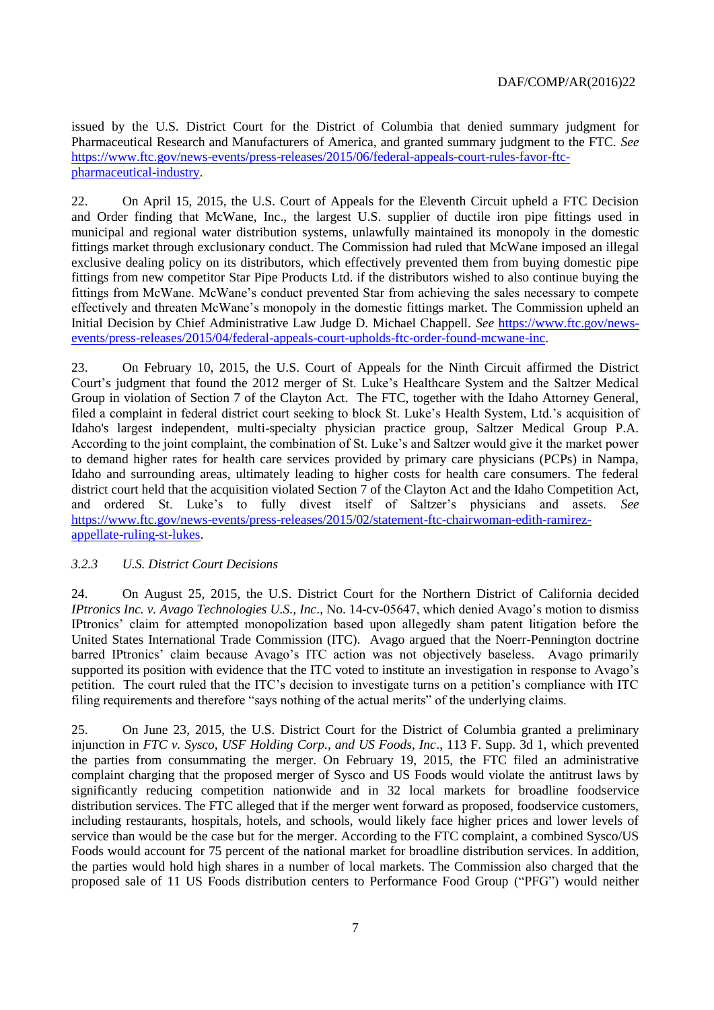issued by the U.S. District Court for the District of Columbia that denied summary judgment for Pharmaceutical Research and Manufacturers of America, and granted summary judgment to the FTC. *See* [https://www.ftc.gov/news-events/press-releases/2015/06/federal-appeals-court-rules-favor-ftc](https://www.ftc.gov/news-events/press-releases/2015/06/federal-appeals-court-rules-favor-ftc-pharmaceutical-industry)[pharmaceutical-industry.](https://www.ftc.gov/news-events/press-releases/2015/06/federal-appeals-court-rules-favor-ftc-pharmaceutical-industry)

22. On April 15, 2015, the U.S. Court of Appeals for the Eleventh Circuit upheld a FTC Decision and Order finding that McWane, Inc., the largest U.S. supplier of ductile iron pipe fittings used in municipal and regional water distribution systems, unlawfully maintained its monopoly in the domestic fittings market through exclusionary conduct. The Commission had ruled that McWane imposed an illegal exclusive dealing policy on its distributors, which effectively prevented them from buying domestic pipe fittings from new competitor Star Pipe Products Ltd. if the distributors wished to also continue buying the fittings from McWane. McWane's conduct prevented Star from achieving the sales necessary to compete effectively and threaten McWane's monopoly in the domestic fittings market. The Commission upheld an Initial Decision by Chief Administrative Law Judge D. Michael Chappell. *See* [https://www.ftc.gov/news](https://www.ftc.gov/news-events/press-releases/2015/04/federal-appeals-court-upholds-ftc-order-found-mcwane-inc)[events/press-releases/2015/04/federal-appeals-court-upholds-ftc-order-found-mcwane-inc.](https://www.ftc.gov/news-events/press-releases/2015/04/federal-appeals-court-upholds-ftc-order-found-mcwane-inc)

23. On February 10, 2015, the U.S. Court of Appeals for the Ninth Circuit affirmed the District Court's judgment that found the 2012 merger of St. Luke's Healthcare System and the Saltzer Medical Group in violation of Section 7 of the Clayton Act. The FTC, together with the Idaho Attorney General, filed a complaint in federal district court seeking to block St. Luke's Health System, Ltd.'s acquisition of Idaho's largest independent, multi-specialty physician practice group, Saltzer Medical Group P.A. According to the joint complaint, the combination of St. Luke's and Saltzer would give it the market power to demand higher rates for health care services provided by primary care physicians (PCPs) in Nampa, Idaho and surrounding areas, ultimately leading to higher costs for health care consumers. The federal district court held that the acquisition violated Section 7 of the Clayton Act and the Idaho Competition Act, and ordered St. Luke's to fully divest itself of Saltzer's physicians and assets. *See* [https://www.ftc.gov/news-events/press-releases/2015/02/statement-ftc-chairwoman-edith-ramirez](https://www.ftc.gov/news-events/press-releases/2015/02/statement-ftc-chairwoman-edith-ramirez-appellate-ruling-st-lukes)[appellate-ruling-st-lukes.](https://www.ftc.gov/news-events/press-releases/2015/02/statement-ftc-chairwoman-edith-ramirez-appellate-ruling-st-lukes)

# *3.2.3 U.S. District Court Decisions*

24. On August 25, 2015, the U.S. District Court for the Northern District of California decided *IPtronics Inc. v. Avago Technologies U.S., Inc*., No. 14-cv-05647, which denied Avago's motion to dismiss IPtronics' claim for attempted monopolization based upon allegedly sham patent litigation before the United States International Trade Commission (ITC). Avago argued that the Noerr-Pennington doctrine barred IPtronics' claim because Avago's ITC action was not objectively baseless. Avago primarily supported its position with evidence that the ITC voted to institute an investigation in response to Avago's petition. The court ruled that the ITC's decision to investigate turns on a petition's compliance with ITC filing requirements and therefore "says nothing of the actual merits" of the underlying claims.

25. On June 23, 2015, the U.S. District Court for the District of Columbia granted a preliminary injunction in *FTC v. Sysco, USF Holding Corp., and US Foods, Inc*., 113 F. Supp. 3d 1, which prevented the parties from consummating the merger. On February 19, 2015, the FTC filed an administrative complaint charging that the proposed merger of Sysco and US Foods would violate the antitrust laws by significantly reducing competition nationwide and in 32 local markets for broadline foodservice distribution services. The FTC alleged that if the merger went forward as proposed, foodservice customers, including restaurants, hospitals, hotels, and schools, would likely face higher prices and lower levels of service than would be the case but for the merger. According to the FTC complaint, a combined Sysco/US Foods would account for 75 percent of the national market for broadline distribution services. In addition, the parties would hold high shares in a number of local markets. The Commission also charged that the proposed sale of 11 US Foods distribution centers to Performance Food Group ("PFG") would neither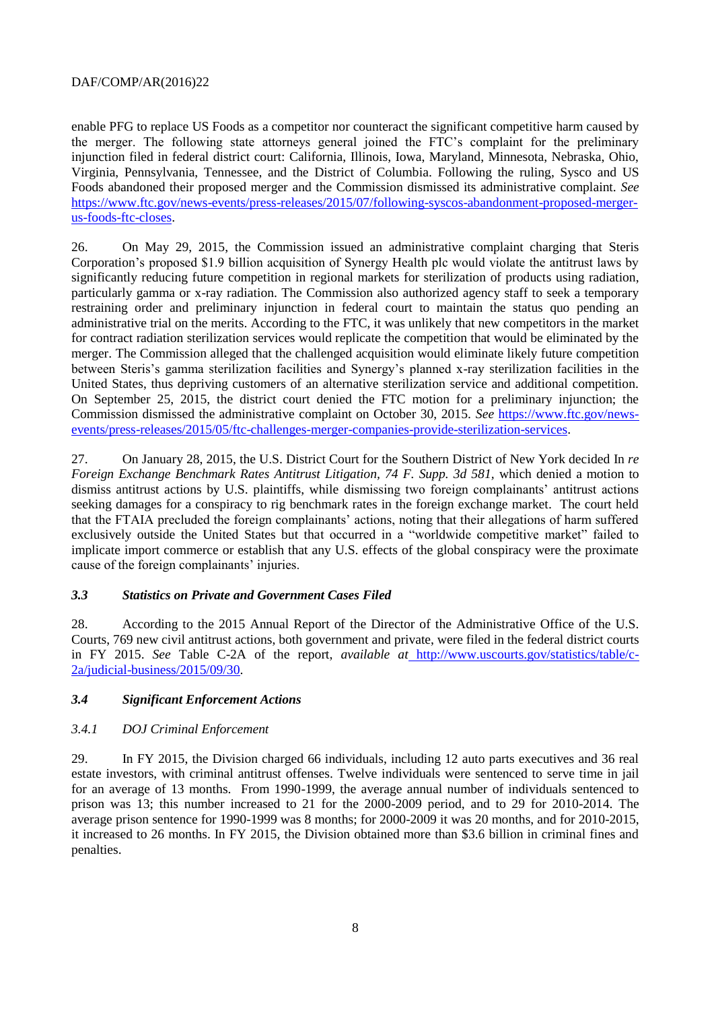enable PFG to replace US Foods as a competitor nor counteract the significant competitive harm caused by the merger. The following state attorneys general joined the FTC's complaint for the preliminary injunction filed in federal district court: California, Illinois, Iowa, Maryland, Minnesota, Nebraska, Ohio, Virginia, Pennsylvania, Tennessee, and the District of Columbia. Following the ruling, Sysco and US Foods abandoned their proposed merger and the Commission dismissed its administrative complaint. *See* [https://www.ftc.gov/news-events/press-releases/2015/07/following-syscos-abandonment-proposed-merger](https://www.ftc.gov/news-events/press-releases/2015/07/following-syscos-abandonment-proposed-merger-us-foods-ftc-closes)[us-foods-ftc-closes.](https://www.ftc.gov/news-events/press-releases/2015/07/following-syscos-abandonment-proposed-merger-us-foods-ftc-closes)

26. On May 29, 2015, the Commission issued an administrative complaint charging that Steris Corporation's proposed \$1.9 billion acquisition of Synergy Health plc would violate the antitrust laws by significantly reducing future competition in regional markets for sterilization of products using radiation, particularly gamma or x-ray radiation. The Commission also authorized agency staff to seek a temporary restraining order and preliminary injunction in federal court to maintain the status quo pending an administrative trial on the merits. According to the FTC, it was unlikely that new competitors in the market for contract radiation sterilization services would replicate the competition that would be eliminated by the merger. The Commission alleged that the challenged acquisition would eliminate likely future competition between Steris's gamma sterilization facilities and Synergy's planned x-ray sterilization facilities in the United States, thus depriving customers of an alternative sterilization service and additional competition. On September 25, 2015, the district court denied the FTC motion for a preliminary injunction; the Commission dismissed the administrative complaint on October 30, 2015. *See* [https://www.ftc.gov/news](https://www.ftc.gov/news-events/press-releases/2015/05/ftc-challenges-merger-companies-provide-sterilization-services)[events/press-releases/2015/05/ftc-challenges-merger-companies-provide-sterilization-services.](https://www.ftc.gov/news-events/press-releases/2015/05/ftc-challenges-merger-companies-provide-sterilization-services)

27. On January 28, 2015, the U.S. District Court for the Southern District of New York decided In *re Foreign Exchange Benchmark Rates Antitrust Litigation, 74 F. Supp. 3d 581,* which denied a motion to dismiss antitrust actions by U.S. plaintiffs, while dismissing two foreign complainants' antitrust actions seeking damages for a conspiracy to rig benchmark rates in the foreign exchange market. The court held that the FTAIA precluded the foreign complainants' actions, noting that their allegations of harm suffered exclusively outside the United States but that occurred in a "worldwide competitive market" failed to implicate import commerce or establish that any U.S. effects of the global conspiracy were the proximate cause of the foreign complainants' injuries.

#### <span id="page-7-0"></span>*3.3 Statistics on Private and Government Cases Filed*

28. According to the 2015 Annual Report of the Director of the Administrative Office of the U.S. Courts, 769 new civil antitrust actions, both government and private, were filed in the federal district courts in FY 2015. *See* Table C-2A of the report, *available at* [http://www.uscourts.gov/statistics/table/c-](http://www.uscourts.gov/statistics/table/c-2a/judicial-business/2015/09/30)[2a/judicial-business/2015/09/30.](http://www.uscourts.gov/statistics/table/c-2a/judicial-business/2015/09/30)

#### <span id="page-7-1"></span>*3.4 Significant Enforcement Actions*

#### *3.4.1 DOJ Criminal Enforcement*

29. In FY 2015, the Division charged 66 individuals, including 12 auto parts executives and 36 real estate investors, with criminal antitrust offenses. Twelve individuals were sentenced to serve time in jail for an average of 13 months. From 1990-1999, the average annual number of individuals sentenced to prison was 13; this number increased to 21 for the 2000-2009 period, and to 29 for 2010-2014. The average prison sentence for 1990-1999 was 8 months; for 2000-2009 it was 20 months, and for 2010-2015, it increased to 26 months. In FY 2015, the Division obtained more than \$3.6 billion in criminal fines and penalties.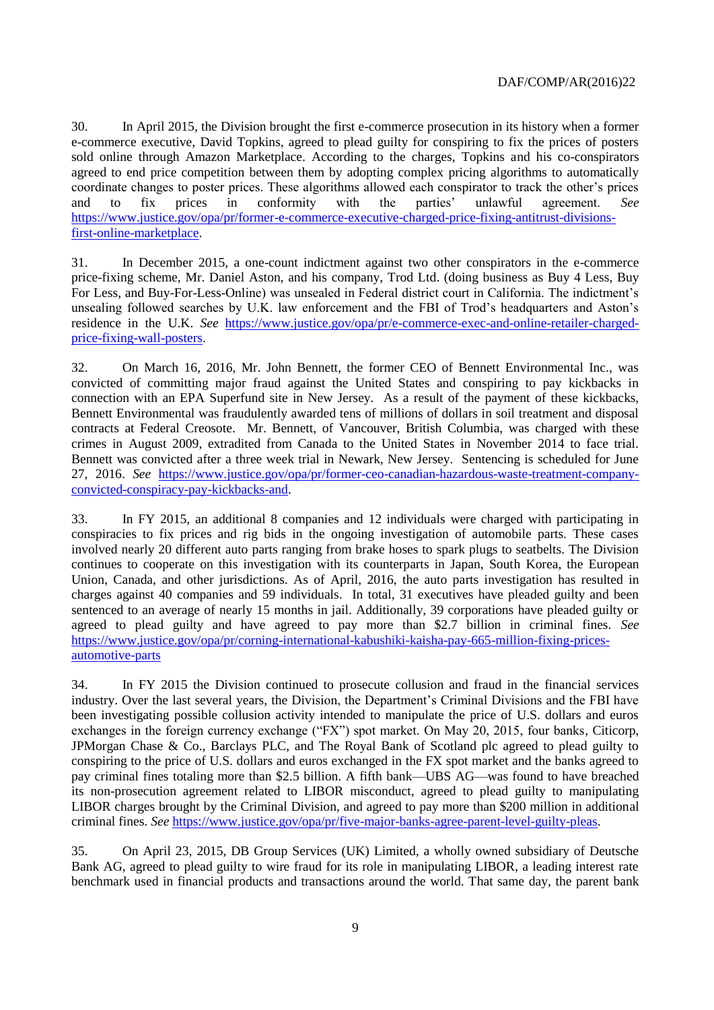30. In April 2015, the Division brought the first e-commerce prosecution in its history when a former e-commerce executive, David Topkins, agreed to plead guilty for conspiring to fix the prices of posters sold online through Amazon Marketplace. According to the charges, Topkins and his co-conspirators agreed to end price competition between them by adopting complex pricing algorithms to automatically coordinate changes to poster prices. These algorithms allowed each conspirator to track the other's prices and to fix prices in conformity with the parties' unlawful agreement. *See* [https://www.justice.gov/opa/pr/former-e-commerce-executive-charged-price-fixing-antitrust-divisions](https://www.justice.gov/opa/pr/former-e-commerce-executive-charged-price-fixing-antitrust-divisions-first-online-marketplace)[first-online-marketplace.](https://www.justice.gov/opa/pr/former-e-commerce-executive-charged-price-fixing-antitrust-divisions-first-online-marketplace)

31. In December 2015, a one-count indictment against two other conspirators in the e-commerce price-fixing scheme, Mr. Daniel Aston, and his company, Trod Ltd. (doing business as Buy 4 Less, Buy For Less, and Buy-For-Less-Online) was unsealed in Federal district court in California. The indictment's unsealing followed searches by U.K. law enforcement and the FBI of Trod's headquarters and Aston's residence in the U.K. *See* [https://www.justice.gov/opa/pr/e-commerce-exec-and-online-retailer-charged](https://www.justice.gov/opa/pr/e-commerce-exec-and-online-retailer-charged-price-fixing-wall-posters)[price-fixing-wall-posters.](https://www.justice.gov/opa/pr/e-commerce-exec-and-online-retailer-charged-price-fixing-wall-posters)

32. On March 16, 2016, Mr. John Bennett, the former CEO of Bennett Environmental Inc., was convicted of committing major fraud against the United States and conspiring to pay kickbacks in connection with an EPA Superfund site in New Jersey. As a result of the payment of these kickbacks, Bennett Environmental was fraudulently awarded tens of millions of dollars in soil treatment and disposal contracts at Federal Creosote. Mr. Bennett, of Vancouver, British Columbia, was charged with these crimes in August 2009, extradited from Canada to the United States in November 2014 to face trial. Bennett was convicted after a three week trial in Newark, New Jersey. Sentencing is scheduled for June 27, 2016. *See* [https://www.justice.gov/opa/pr/former-ceo-canadian-hazardous-waste-treatment-company](https://www.justice.gov/opa/pr/former-ceo-canadian-hazardous-waste-treatment-company-convicted-conspiracy-pay-kickbacks-and)[convicted-conspiracy-pay-kickbacks-and.](https://www.justice.gov/opa/pr/former-ceo-canadian-hazardous-waste-treatment-company-convicted-conspiracy-pay-kickbacks-and)

33. In FY 2015, an additional 8 companies and 12 individuals were charged with participating in conspiracies to fix prices and rig bids in the ongoing investigation of automobile parts. These cases involved nearly 20 different auto parts ranging from brake hoses to spark plugs to seatbelts. The Division continues to cooperate on this investigation with its counterparts in Japan, South Korea, the European Union, Canada, and other jurisdictions. As of April, 2016, the auto parts investigation has resulted in charges against 40 companies and 59 individuals. In total, 31 executives have pleaded guilty and been sentenced to an average of nearly 15 months in jail. Additionally, 39 corporations have pleaded guilty or agreed to plead guilty and have agreed to pay more than \$2.7 billion in criminal fines. *See* [https://www.justice.gov/opa/pr/corning-international-kabushiki-kaisha-pay-665-million-fixing-prices](https://www.justice.gov/opa/pr/corning-international-kabushiki-kaisha-pay-665-million-fixing-prices-automotive-parts)[automotive-parts](https://www.justice.gov/opa/pr/corning-international-kabushiki-kaisha-pay-665-million-fixing-prices-automotive-parts)

34. In FY 2015 the Division continued to prosecute collusion and fraud in the financial services industry. Over the last several years, the Division, the Department's Criminal Divisions and the FBI have been investigating possible collusion activity intended to manipulate the price of U.S. dollars and euros exchanges in the foreign currency exchange ("FX") spot market. On May 20, 2015, four banks, Citicorp, JPMorgan Chase & Co., Barclays PLC, and The Royal Bank of Scotland plc agreed to plead guilty to conspiring to the price of U.S. dollars and euros exchanged in the FX spot market and the banks agreed to pay criminal fines totaling more than \$2.5 billion. A fifth bank—UBS AG—was found to have breached its non-prosecution agreement related to LIBOR misconduct, agreed to plead guilty to manipulating LIBOR charges brought by the Criminal Division, and agreed to pay more than \$200 million in additional criminal fines. *See* [https://www.justice.gov/opa/pr/five-major-banks-agree-parent-level-guilty-pleas.](https://www.justice.gov/opa/pr/five-major-banks-agree-parent-level-guilty-pleas)

35. On April 23, 2015, DB Group Services (UK) Limited, a wholly owned subsidiary of Deutsche Bank AG, agreed to plead guilty to wire fraud for its role in manipulating LIBOR, a leading interest rate benchmark used in financial products and transactions around the world. That same day, the parent bank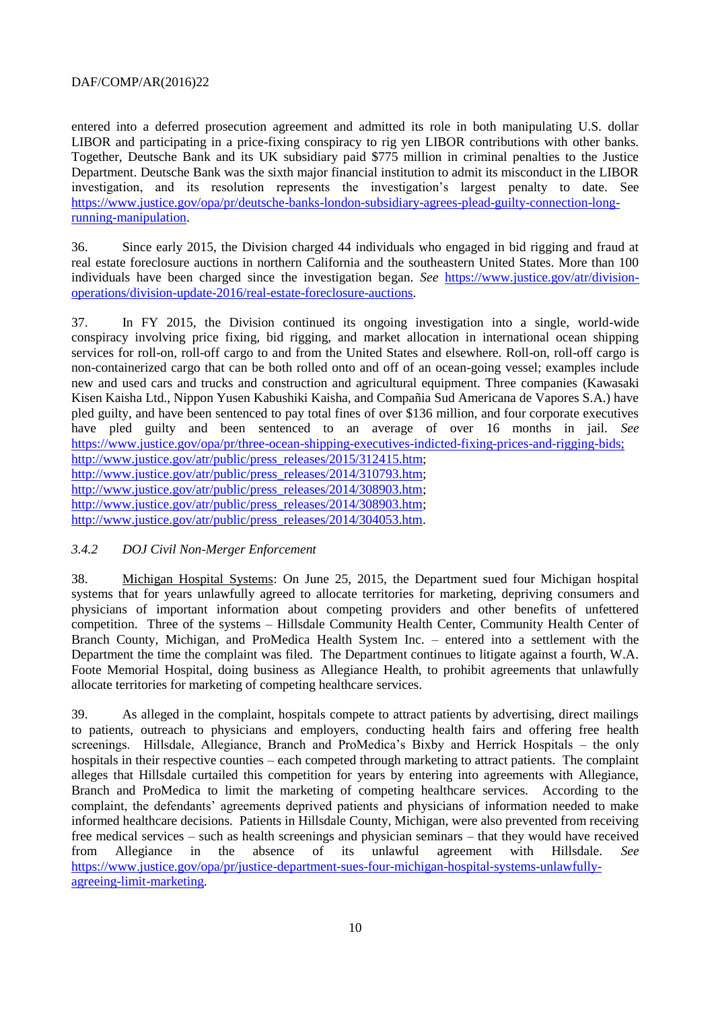entered into a deferred prosecution agreement and admitted its role in both manipulating U.S. dollar LIBOR and participating in a price-fixing conspiracy to rig yen LIBOR contributions with other banks. Together, Deutsche Bank and its UK subsidiary paid \$775 million in criminal penalties to the Justice Department. Deutsche Bank was the sixth major financial institution to admit its misconduct in the LIBOR investigation, and its resolution represents the investigation's largest penalty to date. See [https://www.justice.gov/opa/pr/deutsche-banks-london-subsidiary-agrees-plead-guilty-connection-long](https://www.justice.gov/opa/pr/deutsche-banks-london-subsidiary-agrees-plead-guilty-connection-long-running-manipulation)[running-manipulation.](https://www.justice.gov/opa/pr/deutsche-banks-london-subsidiary-agrees-plead-guilty-connection-long-running-manipulation)

36. Since early 2015, the Division charged 44 individuals who engaged in bid rigging and fraud at real estate foreclosure auctions in northern California and the southeastern United States. More than 100 individuals have been charged since the investigation began. *See* [https://www.justice.gov/atr/division](https://www.justice.gov/atr/division-operations/division-update-2016/real-estate-foreclosure-auctions)[operations/division-update-2016/real-estate-foreclosure-auctions.](https://www.justice.gov/atr/division-operations/division-update-2016/real-estate-foreclosure-auctions)

37. In FY 2015, the Division continued its ongoing investigation into a single, world-wide conspiracy involving price fixing, bid rigging, and market allocation in international ocean shipping services for roll-on, roll-off cargo to and from the United States and elsewhere. Roll-on, roll-off cargo is non-containerized cargo that can be both rolled onto and off of an ocean-going vessel; examples include new and used cars and trucks and construction and agricultural equipment. Three companies (Kawasaki Kisen Kaisha Ltd., Nippon Yusen Kabushiki Kaisha, and Compañia Sud Americana de Vapores S.A.) have pled guilty, and have been sentenced to pay total fines of over \$136 million, and four corporate executives have pled guilty and been sentenced to an average of over 16 months in jail. *See* [https://www.justice.gov/opa/pr/three-ocean-shipping-executives-indicted-fixing-prices-and-rigging-bids;](https://www.justice.gov/opa/pr/three-ocean-shipping-executives-indicted-fixing-prices-and-rigging-bids) [http://www.justice.gov/atr/public/press\\_releases/2015/312415.htm;](http://www.justice.gov/atr/public/press_releases/2015/312415.htm) [http://www.justice.gov/atr/public/press\\_releases/2014/310793.htm;](http://www.justice.gov/atr/public/press_releases/2014/310793.htm) [http://www.justice.gov/atr/public/press\\_releases/2014/308903.htm;](http://www.justice.gov/atr/public/press_releases/2014/308903.htm) [http://www.justice.gov/atr/public/press\\_releases/2014/308903.htm;](http://www.justice.gov/atr/public/press_releases/2014/308903.htm) [http://www.justice.gov/atr/public/press\\_releases/2014/304053.htm.](http://www.justice.gov/atr/public/press_releases/2014/304053.htm)

#### *3.4.2 DOJ Civil Non-Merger Enforcement*

38. Michigan Hospital Systems: On June 25, 2015, the Department sued four Michigan hospital systems that for years unlawfully agreed to allocate territories for marketing, depriving consumers and physicians of important information about competing providers and other benefits of unfettered competition. Three of the systems – Hillsdale Community Health Center, Community Health Center of Branch County, Michigan, and ProMedica Health System Inc. – entered into a settlement with the Department the time the complaint was filed. The Department continues to litigate against a fourth, W.A. Foote Memorial Hospital, doing business as Allegiance Health, to prohibit agreements that unlawfully allocate territories for marketing of competing healthcare services.

39. As alleged in the complaint, hospitals compete to attract patients by advertising, direct mailings to patients, outreach to physicians and employers, conducting health fairs and offering free health screenings. Hillsdale, Allegiance, Branch and ProMedica's Bixby and Herrick Hospitals – the only hospitals in their respective counties – each competed through marketing to attract patients. The complaint alleges that Hillsdale curtailed this competition for years by entering into agreements with Allegiance, Branch and ProMedica to limit the marketing of competing healthcare services. According to the complaint, the defendants' agreements deprived patients and physicians of information needed to make informed healthcare decisions. Patients in Hillsdale County, Michigan, were also prevented from receiving free medical services – such as health screenings and physician seminars – that they would have received from Allegiance in the absence of its unlawful agreement with Hillsdale. *See* [https://www.justice.gov/opa/pr/justice-department-sues-four-michigan-hospital-systems-unlawfully](https://www.justice.gov/opa/pr/justice-department-sues-four-michigan-hospital-systems-unlawfully-agreeing-limit-marketing)[agreeing-limit-marketing.](https://www.justice.gov/opa/pr/justice-department-sues-four-michigan-hospital-systems-unlawfully-agreeing-limit-marketing)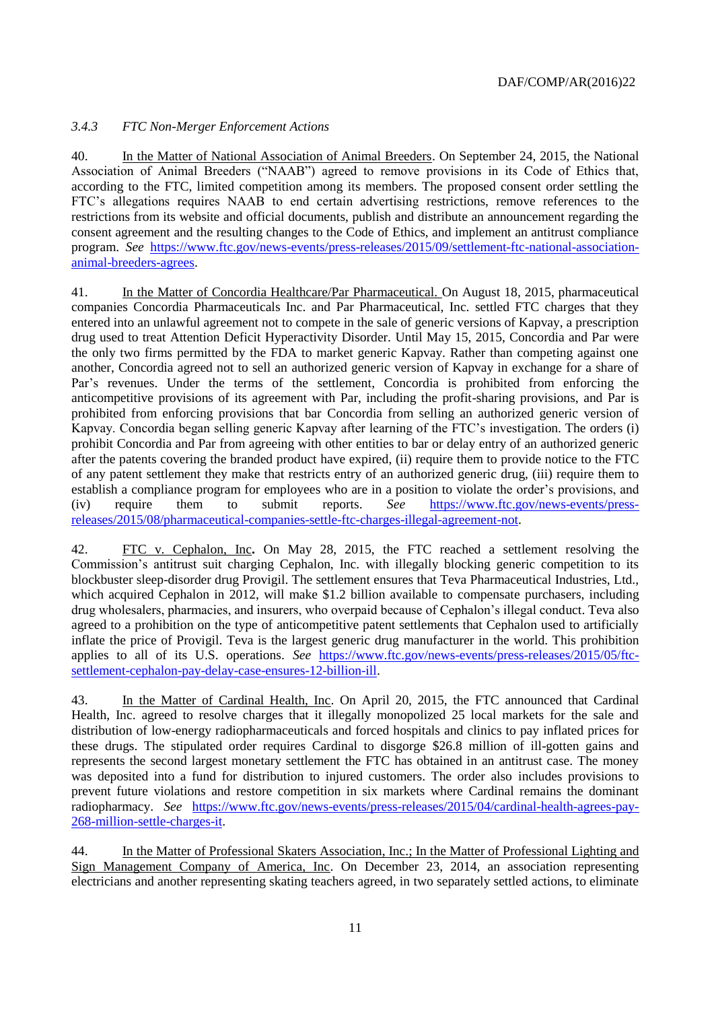## *3.4.3 FTC Non-Merger Enforcement Actions*

40. In the Matter of National Association of Animal Breeders. On September 24, 2015, the National Association of Animal Breeders ("NAAB") agreed to remove provisions in its Code of Ethics that, according to the FTC, limited competition among its members. The proposed consent order settling the FTC's allegations requires NAAB to end certain advertising restrictions, remove references to the restrictions from its website and official documents, publish and distribute an announcement regarding the consent agreement and the resulting changes to the Code of Ethics, and implement an antitrust compliance program. *See* [https://www.ftc.gov/news-events/press-releases/2015/09/settlement-ftc-national-association](https://www.ftc.gov/news-events/press-releases/2015/09/settlement-ftc-national-association-animal-breeders-agrees)[animal-breeders-agrees.](https://www.ftc.gov/news-events/press-releases/2015/09/settlement-ftc-national-association-animal-breeders-agrees)

41. In the Matter of Concordia Healthcare/Par Pharmaceutical. On August 18, 2015, pharmaceutical companies Concordia Pharmaceuticals Inc. and Par Pharmaceutical, Inc. settled FTC charges that they entered into an unlawful agreement not to compete in the sale of generic versions of Kapvay, a prescription drug used to treat Attention Deficit Hyperactivity Disorder. Until May 15, 2015, Concordia and Par were the only two firms permitted by the FDA to market generic Kapvay. Rather than competing against one another, Concordia agreed not to sell an authorized generic version of Kapvay in exchange for a share of Par's revenues. Under the terms of the settlement, Concordia is prohibited from enforcing the anticompetitive provisions of its agreement with Par, including the profit-sharing provisions, and Par is prohibited from enforcing provisions that bar Concordia from selling an authorized generic version of Kapvay. Concordia began selling generic Kapvay after learning of the FTC's investigation. The orders (i) prohibit Concordia and Par from agreeing with other entities to bar or delay entry of an authorized generic after the patents covering the branded product have expired, (ii) require them to provide notice to the FTC of any patent settlement they make that restricts entry of an authorized generic drug, (iii) require them to establish a compliance program for employees who are in a position to violate the order's provisions, and (iv) require them to submit reports. *See* [https://www.ftc.gov/news-events/press](https://www.ftc.gov/news-events/press-releases/2015/08/pharmaceutical-companies-settle-ftc-charges-illegal-agreement-not)[releases/2015/08/pharmaceutical-companies-settle-ftc-charges-illegal-agreement-not.](https://www.ftc.gov/news-events/press-releases/2015/08/pharmaceutical-companies-settle-ftc-charges-illegal-agreement-not)

42. FTC v. Cephalon, Inc**.** On May 28, 2015, the FTC reached a settlement resolving the Commission's antitrust suit charging Cephalon, Inc. with illegally blocking generic competition to its blockbuster sleep-disorder drug Provigil. The settlement ensures that Teva Pharmaceutical Industries, Ltd., which acquired Cephalon in 2012, will make \$1.2 billion available to compensate purchasers, including drug wholesalers, pharmacies, and insurers, who overpaid because of Cephalon's illegal conduct. Teva also agreed to a prohibition on the type of anticompetitive patent settlements that Cephalon used to artificially inflate the price of Provigil. Teva is the largest generic drug manufacturer in the world. This prohibition applies to all of its U.S. operations. *See* [https://www.ftc.gov/news-events/press-releases/2015/05/ftc](https://www.ftc.gov/news-events/press-releases/2015/05/ftc-settlement-cephalon-pay-delay-case-ensures-12-billion-ill)[settlement-cephalon-pay-delay-case-ensures-12-billion-ill.](https://www.ftc.gov/news-events/press-releases/2015/05/ftc-settlement-cephalon-pay-delay-case-ensures-12-billion-ill)

43. In the Matter of Cardinal Health, Inc. On April 20, 2015, the FTC announced that Cardinal Health, Inc. agreed to resolve charges that it illegally monopolized 25 local markets for the sale and distribution of low-energy radiopharmaceuticals and forced hospitals and clinics to pay inflated prices for these drugs. The stipulated order requires Cardinal to disgorge \$26.8 million of ill-gotten gains and represents the second largest monetary settlement the FTC has obtained in an antitrust case. The money was deposited into a fund for distribution to injured customers. The order also includes provisions to prevent future violations and restore competition in six markets where Cardinal remains the dominant radiopharmacy. *See* [https://www.ftc.gov/news-events/press-releases/2015/04/cardinal-health-agrees-pay-](https://www.ftc.gov/news-events/press-releases/2015/04/cardinal-health-agrees-pay-268-million-settle-charges-it)[268-million-settle-charges-it.](https://www.ftc.gov/news-events/press-releases/2015/04/cardinal-health-agrees-pay-268-million-settle-charges-it)

44. In the Matter of Professional Skaters Association, Inc.; In the Matter of Professional Lighting and Sign Management Company of America, Inc. On December 23, 2014, an association representing electricians and another representing skating teachers agreed, in two separately settled actions, to eliminate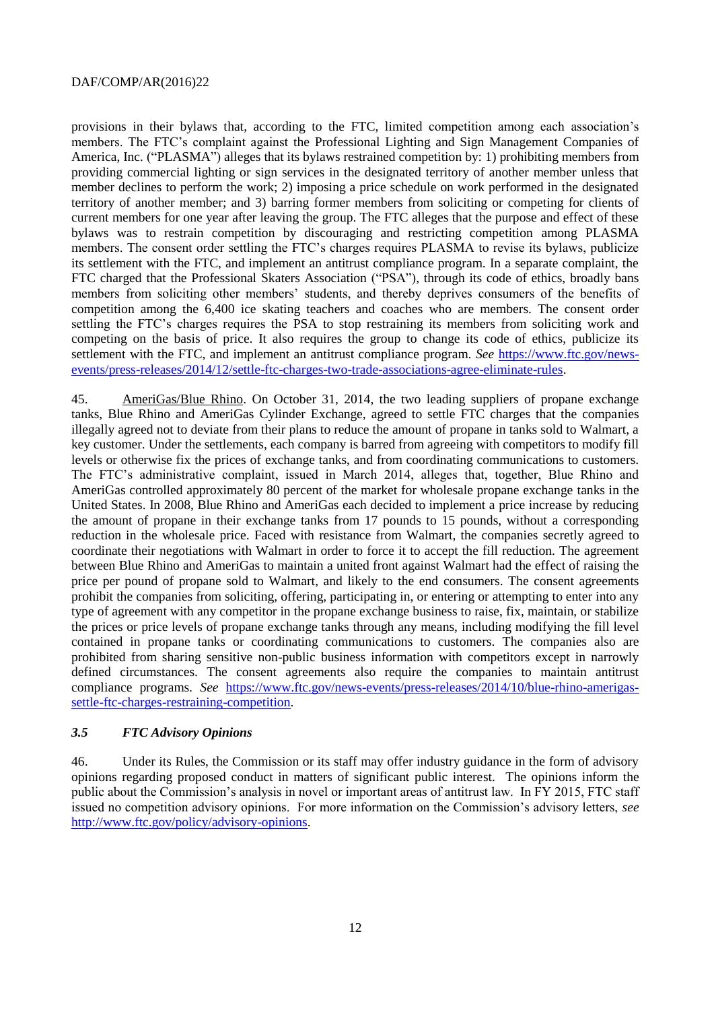provisions in their bylaws that, according to the FTC, limited competition among each association's members. The FTC's complaint against the Professional Lighting and Sign Management Companies of America, Inc. ("PLASMA") alleges that its bylaws restrained competition by: 1) prohibiting members from providing commercial lighting or sign services in the designated territory of another member unless that member declines to perform the work; 2) imposing a price schedule on work performed in the designated territory of another member; and 3) barring former members from soliciting or competing for clients of current members for one year after leaving the group. The FTC alleges that the purpose and effect of these bylaws was to restrain competition by discouraging and restricting competition among PLASMA members. The consent order settling the FTC's charges requires PLASMA to revise its bylaws, publicize its settlement with the FTC, and implement an antitrust compliance program. In a separate complaint, the FTC charged that the Professional Skaters Association ("PSA"), through its code of ethics, broadly bans members from soliciting other members' students, and thereby deprives consumers of the benefits of competition among the 6,400 ice skating teachers and coaches who are members. The consent order settling the FTC's charges requires the PSA to stop restraining its members from soliciting work and competing on the basis of price. It also requires the group to change its code of ethics, publicize its settlement with the FTC, and implement an antitrust compliance program. *See* [https://www.ftc.gov/news](https://www.ftc.gov/news-events/press-releases/2014/12/settle-ftc-charges-two-trade-associations-agree-eliminate-rules)[events/press-releases/2014/12/settle-ftc-charges-two-trade-associations-agree-eliminate-rules.](https://www.ftc.gov/news-events/press-releases/2014/12/settle-ftc-charges-two-trade-associations-agree-eliminate-rules)

45. AmeriGas/Blue Rhino. On October 31, 2014, the two leading suppliers of propane exchange tanks, Blue Rhino and AmeriGas Cylinder Exchange, agreed to settle FTC charges that the companies illegally agreed not to deviate from their plans to reduce the amount of propane in tanks sold to Walmart, a key customer. Under the settlements, each company is barred from agreeing with competitors to modify fill levels or otherwise fix the prices of exchange tanks, and from coordinating communications to customers. The FTC's administrative complaint, issued in March 2014, alleges that, together, Blue Rhino and AmeriGas controlled approximately 80 percent of the market for wholesale propane exchange tanks in the United States. In 2008, Blue Rhino and AmeriGas each decided to implement a price increase by reducing the amount of propane in their exchange tanks from 17 pounds to 15 pounds, without a corresponding reduction in the wholesale price. Faced with resistance from Walmart, the companies secretly agreed to coordinate their negotiations with Walmart in order to force it to accept the fill reduction. The agreement between Blue Rhino and AmeriGas to maintain a united front against Walmart had the effect of raising the price per pound of propane sold to Walmart, and likely to the end consumers. The consent agreements prohibit the companies from soliciting, offering, participating in, or entering or attempting to enter into any type of agreement with any competitor in the propane exchange business to raise, fix, maintain, or stabilize the prices or price levels of propane exchange tanks through any means, including modifying the fill level contained in propane tanks or coordinating communications to customers. The companies also are prohibited from sharing sensitive non-public business information with competitors except in narrowly defined circumstances. The consent agreements also require the companies to maintain antitrust compliance programs. *See* [https://www.ftc.gov/news-events/press-releases/2014/10/blue-rhino-amerigas](https://www.ftc.gov/news-events/press-releases/2014/10/blue-rhino-amerigas-settle-ftc-charges-restraining-competition)[settle-ftc-charges-restraining-competition.](https://www.ftc.gov/news-events/press-releases/2014/10/blue-rhino-amerigas-settle-ftc-charges-restraining-competition)

# <span id="page-11-0"></span>*3.5 FTC Advisory Opinions*

46. Under its Rules, the Commission or its staff may offer industry guidance in the form of advisory opinions regarding proposed conduct in matters of significant public interest. The opinions inform the public about the Commission's analysis in novel or important areas of antitrust law. In FY 2015, FTC staff issued no competition advisory opinions. For more information on the Commission's advisory letters, *see* [http://www.ftc.gov/policy/advisory-opinions.](http://www.ftc.gov/policy/advisory-opinions)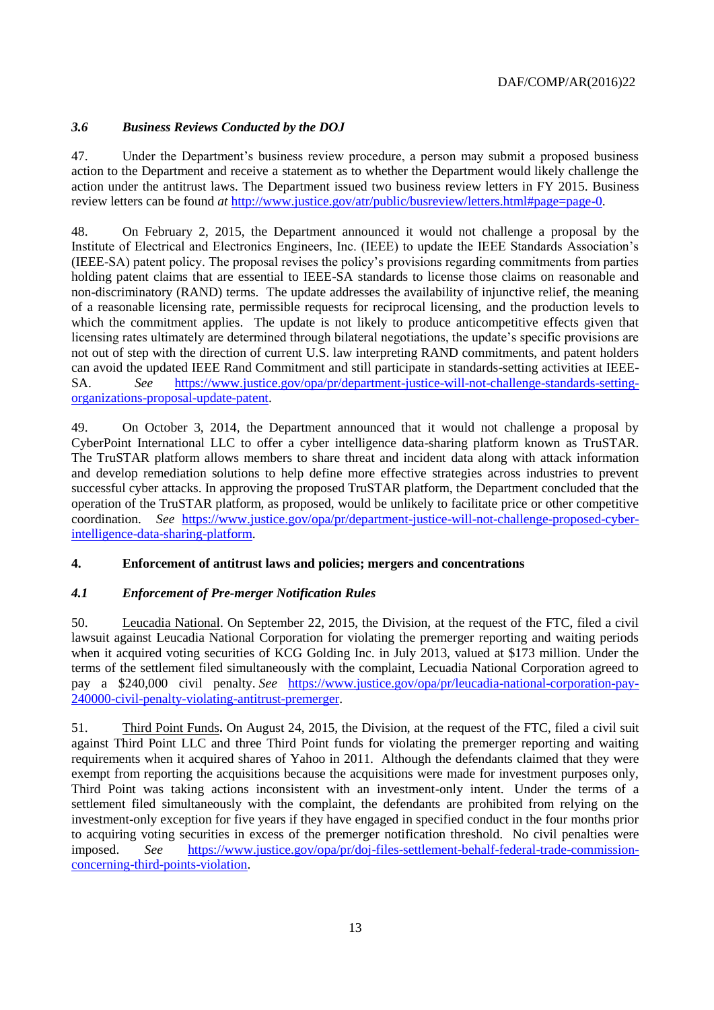# <span id="page-12-0"></span>*3.6 Business Reviews Conducted by the DOJ*

47. Under the Department's business review procedure, a person may submit a proposed business action to the Department and receive a statement as to whether the Department would likely challenge the action under the antitrust laws. The Department issued two business review letters in FY 2015. Business review letters can be found *at* [http://www.justice.gov/atr/public/busreview/letters.html#page=page-0.](http://www.justice.gov/atr/public/busreview/letters.html#page=page-0)

48. On February 2, 2015, the Department announced it would not challenge a proposal by the Institute of Electrical and Electronics Engineers, Inc. (IEEE) to update the IEEE Standards Association's (IEEE-SA) patent policy. The proposal revises the policy's provisions regarding commitments from parties holding patent claims that are essential to IEEE-SA standards to license those claims on reasonable and non-discriminatory (RAND) terms. The update addresses the availability of injunctive relief, the meaning of a reasonable licensing rate, permissible requests for reciprocal licensing, and the production levels to which the commitment applies. The update is not likely to produce anticompetitive effects given that licensing rates ultimately are determined through bilateral negotiations, the update's specific provisions are not out of step with the direction of current U.S. law interpreting RAND commitments, and patent holders can avoid the updated IEEE Rand Commitment and still participate in standards-setting activities at IEEE-SA. *See* [https://www.justice.gov/opa/pr/department-justice-will-not-challenge-standards-setting](https://www.justice.gov/opa/pr/department-justice-will-not-challenge-standards-setting-organizations-proposal-update-patent)[organizations-proposal-update-patent.](https://www.justice.gov/opa/pr/department-justice-will-not-challenge-standards-setting-organizations-proposal-update-patent)

49. On October 3, 2014, the Department announced that it would not challenge a proposal by CyberPoint International LLC to offer a cyber intelligence data-sharing platform known as TruSTAR. The TruSTAR platform allows members to share threat and incident data along with attack information and develop remediation solutions to help define more effective strategies across industries to prevent successful cyber attacks. In approving the proposed TruSTAR platform, the Department concluded that the operation of the TruSTAR platform, as proposed, would be unlikely to facilitate price or other competitive coordination. *See* [https://www.justice.gov/opa/pr/department-justice-will-not-challenge-proposed-cyber](https://www.justice.gov/opa/pr/department-justice-will-not-challenge-proposed-cyber-intelligence-data-sharing-platform)[intelligence-data-sharing-platform.](https://www.justice.gov/opa/pr/department-justice-will-not-challenge-proposed-cyber-intelligence-data-sharing-platform)

# <span id="page-12-1"></span>**4. Enforcement of antitrust laws and policies; mergers and concentrations**

# <span id="page-12-2"></span>*4.1 Enforcement of Pre-merger Notification Rules*

50. Leucadia National. On September 22, 2015, the Division, at the request of the FTC, filed a civil lawsuit against Leucadia National Corporation for violating the premerger reporting and waiting periods when it acquired voting securities of KCG Golding Inc. in July 2013, valued at \$173 million. Under the terms of the settlement filed simultaneously with the complaint, Lecuadia National Corporation agreed to pay a \$240,000 civil penalty. *See* [https://www.justice.gov/opa/pr/leucadia-national-corporation-pay-](https://www.justice.gov/opa/pr/leucadia-national-corporation-pay-240000-civil-penalty-violating-antitrust-premerger)[240000-civil-penalty-violating-antitrust-premerger.](https://www.justice.gov/opa/pr/leucadia-national-corporation-pay-240000-civil-penalty-violating-antitrust-premerger)

51. Third Point Funds**.** On August 24, 2015, the Division, at the request of the FTC, filed a civil suit against Third Point LLC and three Third Point funds for violating the premerger reporting and waiting requirements when it acquired shares of Yahoo in 2011. Although the defendants claimed that they were exempt from reporting the acquisitions because the acquisitions were made for investment purposes only, Third Point was taking actions inconsistent with an investment-only intent. Under the terms of a settlement filed simultaneously with the complaint, the defendants are prohibited from relying on the investment-only exception for five years if they have engaged in specified conduct in the four months prior to acquiring voting securities in excess of the premerger notification threshold. No civil penalties were imposed. *See* [https://www.justice.gov/opa/pr/doj-files-settlement-behalf-federal-trade-commission](https://www.justice.gov/opa/pr/doj-files-settlement-behalf-federal-trade-commission-concerning-third-points-violation)[concerning-third-points-violation.](https://www.justice.gov/opa/pr/doj-files-settlement-behalf-federal-trade-commission-concerning-third-points-violation)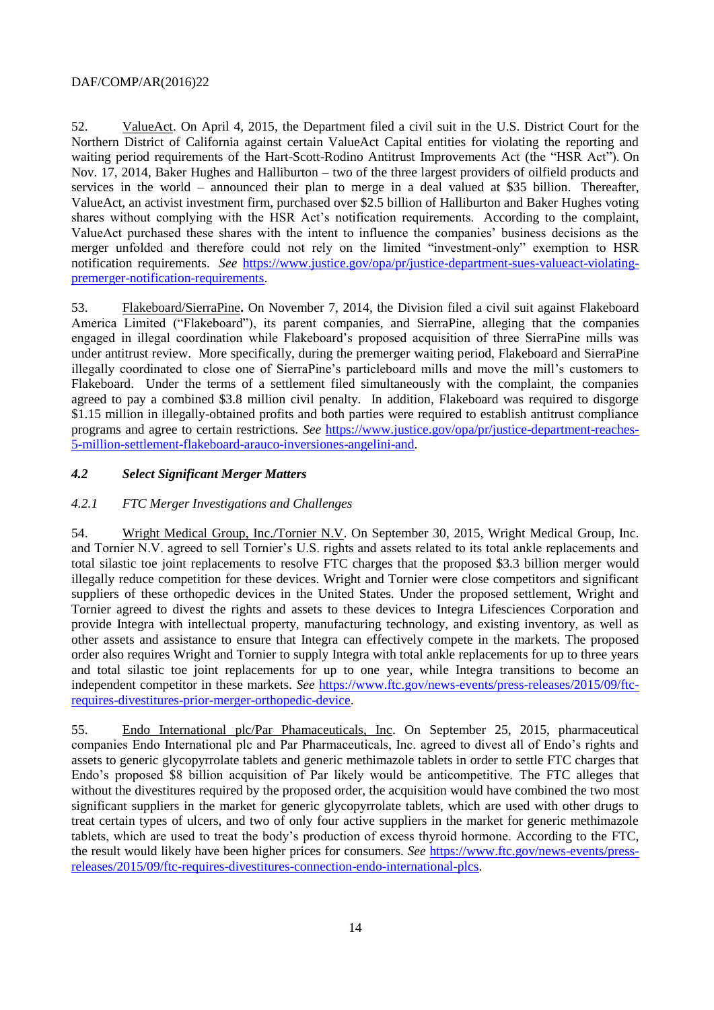52. ValueAct. On April 4, 2015, the Department filed a civil suit in the U.S. District Court for the Northern District of California against certain ValueAct Capital entities for violating the reporting and waiting period requirements of the Hart-Scott-Rodino Antitrust Improvements Act (the "HSR Act"). On Nov. 17, 2014, Baker Hughes and Halliburton – two of the three largest providers of oilfield products and services in the world – announced their plan to merge in a deal valued at \$35 billion. Thereafter, ValueAct, an activist investment firm, purchased over \$2.5 billion of Halliburton and Baker Hughes voting shares without complying with the HSR Act's notification requirements. According to the complaint, ValueAct purchased these shares with the intent to influence the companies' business decisions as the merger unfolded and therefore could not rely on the limited "investment-only" exemption to HSR notification requirements. *See* [https://www.justice.gov/opa/pr/justice-department-sues-valueact-violating](https://www.justice.gov/opa/pr/justice-department-sues-valueact-violating-premerger-notification-requirements)[premerger-notification-requirements.](https://www.justice.gov/opa/pr/justice-department-sues-valueact-violating-premerger-notification-requirements)

53. Flakeboard/SierraPine**.** On November 7, 2014, the Division filed a civil suit against Flakeboard America Limited ("Flakeboard"), its parent companies, and SierraPine, alleging that the companies engaged in illegal coordination while Flakeboard's proposed acquisition of three SierraPine mills was under antitrust review. More specifically, during the premerger waiting period, Flakeboard and SierraPine illegally coordinated to close one of SierraPine's particleboard mills and move the mill's customers to Flakeboard. Under the terms of a settlement filed simultaneously with the complaint, the companies agreed to pay a combined \$3.8 million civil penalty. In addition, Flakeboard was required to disgorge \$1.15 million in illegally-obtained profits and both parties were required to establish antitrust compliance programs and agree to certain restrictions. *See* [https://www.justice.gov/opa/pr/justice-department-reaches-](https://www.justice.gov/opa/pr/justice-department-reaches-5-million-settlement-flakeboard-arauco-inversiones-angelini-and)[5-million-settlement-flakeboard-arauco-inversiones-angelini-and.](https://www.justice.gov/opa/pr/justice-department-reaches-5-million-settlement-flakeboard-arauco-inversiones-angelini-and)

# <span id="page-13-0"></span>*4.2 Select Significant Merger Matters*

# *4.2.1 FTC Merger Investigations and Challenges*

54. Wright Medical Group, Inc./Tornier N.V. On September 30, 2015, Wright Medical Group, Inc. and Tornier N.V. agreed to sell Tornier's U.S. rights and assets related to its total ankle replacements and total silastic toe joint replacements to resolve FTC charges that the proposed \$3.3 billion merger would illegally reduce competition for these devices. Wright and Tornier were close competitors and significant suppliers of these orthopedic devices in the United States. Under the proposed settlement, Wright and Tornier agreed to divest the rights and assets to these devices to Integra Lifesciences Corporation and provide Integra with intellectual property, manufacturing technology, and existing inventory, as well as other assets and assistance to ensure that Integra can effectively compete in the markets. The proposed order also requires Wright and Tornier to supply Integra with total ankle replacements for up to three years and total silastic toe joint replacements for up to one year, while Integra transitions to become an independent competitor in these markets. *See* [https://www.ftc.gov/news-events/press-releases/2015/09/ftc](https://www.ftc.gov/news-events/press-releases/2015/09/ftc-requires-divestitures-prior-merger-orthopedic-device)[requires-divestitures-prior-merger-orthopedic-device.](https://www.ftc.gov/news-events/press-releases/2015/09/ftc-requires-divestitures-prior-merger-orthopedic-device)

55. Endo International plc/Par Phamaceuticals, Inc. On September 25, 2015, pharmaceutical companies Endo International plc and Par Pharmaceuticals, Inc. agreed to divest all of Endo's rights and assets to generic glycopyrrolate tablets and generic methimazole tablets in order to settle FTC charges that Endo's proposed \$8 billion acquisition of Par likely would be anticompetitive. The FTC alleges that without the divestitures required by the proposed order, the acquisition would have combined the two most significant suppliers in the market for generic glycopyrrolate tablets, which are used with other drugs to treat certain types of ulcers, and two of only four active suppliers in the market for generic methimazole tablets, which are used to treat the body's production of excess thyroid hormone. According to the FTC, the result would likely have been higher prices for consumers. *See* [https://www.ftc.gov/news-events/press](https://www.ftc.gov/news-events/press-releases/2015/09/ftc-requires-divestitures-connection-endo-international-plcs)[releases/2015/09/ftc-requires-divestitures-connection-endo-international-plcs.](https://www.ftc.gov/news-events/press-releases/2015/09/ftc-requires-divestitures-connection-endo-international-plcs)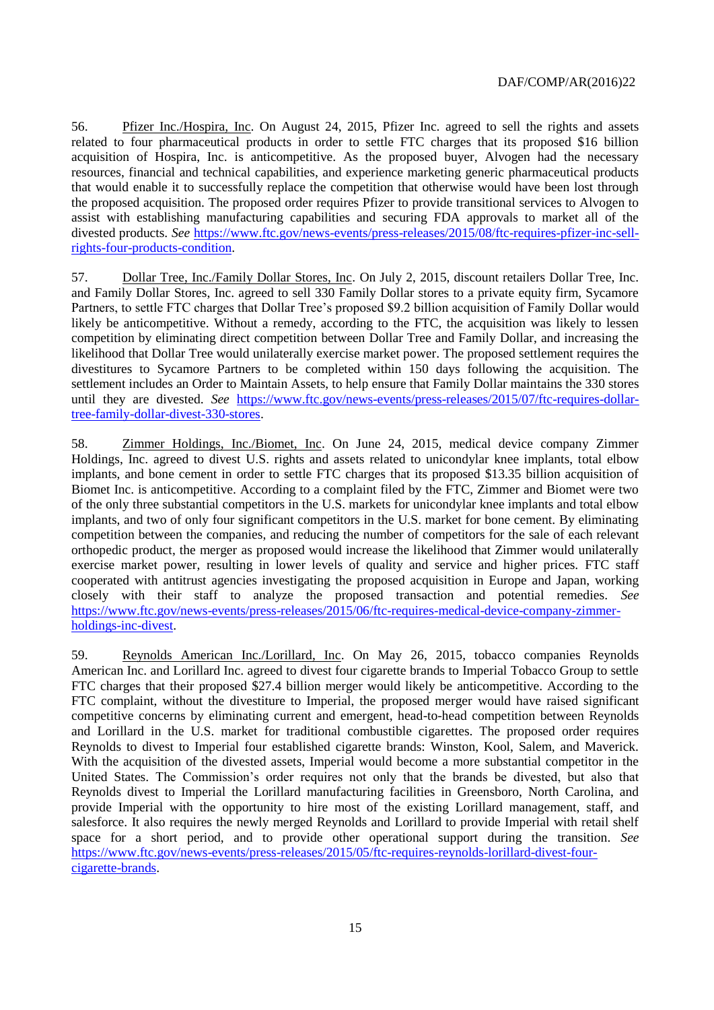56. Pfizer Inc./Hospira, Inc. On August 24, 2015, Pfizer Inc. agreed to sell the rights and assets related to four pharmaceutical products in order to settle FTC charges that its proposed \$16 billion acquisition of Hospira, Inc. is anticompetitive. As the proposed buyer, Alvogen had the necessary resources, financial and technical capabilities, and experience marketing generic pharmaceutical products that would enable it to successfully replace the competition that otherwise would have been lost through the proposed acquisition. The proposed order requires Pfizer to provide transitional services to Alvogen to assist with establishing manufacturing capabilities and securing FDA approvals to market all of the divested products. *See* [https://www.ftc.gov/news-events/press-releases/2015/08/ftc-requires-pfizer-inc-sell](https://www.ftc.gov/news-events/press-releases/2015/08/ftc-requires-pfizer-inc-sell-rights-four-products-condition)[rights-four-products-condition.](https://www.ftc.gov/news-events/press-releases/2015/08/ftc-requires-pfizer-inc-sell-rights-four-products-condition)

57. Dollar Tree, Inc./Family Dollar Stores, Inc. On July 2, 2015, discount retailers Dollar Tree, Inc. and Family Dollar Stores, Inc. agreed to sell 330 Family Dollar stores to a private equity firm, Sycamore Partners, to settle FTC charges that Dollar Tree's proposed \$9.2 billion acquisition of Family Dollar would likely be anticompetitive. Without a remedy, according to the FTC, the acquisition was likely to lessen competition by eliminating direct competition between Dollar Tree and Family Dollar, and increasing the likelihood that Dollar Tree would unilaterally exercise market power. The proposed settlement requires the divestitures to Sycamore Partners to be completed within 150 days following the acquisition. The settlement includes an Order to Maintain Assets, to help ensure that Family Dollar maintains the 330 stores until they are divested. *See* [https://www.ftc.gov/news-events/press-releases/2015/07/ftc-requires-dollar](https://www.ftc.gov/news-events/press-releases/2015/07/ftc-requires-dollar-tree-family-dollar-divest-330-stores)[tree-family-dollar-divest-330-stores.](https://www.ftc.gov/news-events/press-releases/2015/07/ftc-requires-dollar-tree-family-dollar-divest-330-stores)

58. Zimmer Holdings, Inc./Biomet, Inc. On June 24, 2015, medical device company Zimmer Holdings, Inc. agreed to divest U.S. rights and assets related to unicondylar knee implants, total elbow implants, and bone cement in order to settle FTC charges that its proposed \$13.35 billion acquisition of Biomet Inc. is anticompetitive. According to a complaint filed by the FTC, Zimmer and Biomet were two of the only three substantial competitors in the U.S. markets for unicondylar knee implants and total elbow implants, and two of only four significant competitors in the U.S. market for bone cement. By eliminating competition between the companies, and reducing the number of competitors for the sale of each relevant orthopedic product, the merger as proposed would increase the likelihood that Zimmer would unilaterally exercise market power, resulting in lower levels of quality and service and higher prices. FTC staff cooperated with antitrust agencies investigating the proposed acquisition in Europe and Japan, working closely with their staff to analyze the proposed transaction and potential remedies. *See* [https://www.ftc.gov/news-events/press-releases/2015/06/ftc-requires-medical-device-company-zimmer](https://www.ftc.gov/news-events/press-releases/2015/06/ftc-requires-medical-device-company-zimmer-holdings-inc-divest)[holdings-inc-divest.](https://www.ftc.gov/news-events/press-releases/2015/06/ftc-requires-medical-device-company-zimmer-holdings-inc-divest)

59. Reynolds American Inc./Lorillard, Inc. On May 26, 2015, tobacco companies Reynolds American Inc. and Lorillard Inc. agreed to divest four cigarette brands to Imperial Tobacco Group to settle FTC charges that their proposed \$27.4 billion merger would likely be anticompetitive. According to the FTC complaint, without the divestiture to Imperial, the proposed merger would have raised significant competitive concerns by eliminating current and emergent, head-to-head competition between Reynolds and Lorillard in the U.S. market for traditional combustible cigarettes. The proposed order requires Reynolds to divest to Imperial four established cigarette brands: Winston, Kool, Salem, and Maverick. With the acquisition of the divested assets, Imperial would become a more substantial competitor in the United States. The Commission's order requires not only that the brands be divested, but also that Reynolds divest to Imperial the Lorillard manufacturing facilities in Greensboro, North Carolina, and provide Imperial with the opportunity to hire most of the existing Lorillard management, staff, and salesforce. It also requires the newly merged Reynolds and Lorillard to provide Imperial with retail shelf space for a short period, and to provide other operational support during the transition. *See* [https://www.ftc.gov/news-events/press-releases/2015/05/ftc-requires-reynolds-lorillard-divest-four](https://www.ftc.gov/news-events/press-releases/2015/05/ftc-requires-reynolds-lorillard-divest-four-cigarette-brands)[cigarette-brands.](https://www.ftc.gov/news-events/press-releases/2015/05/ftc-requires-reynolds-lorillard-divest-four-cigarette-brands)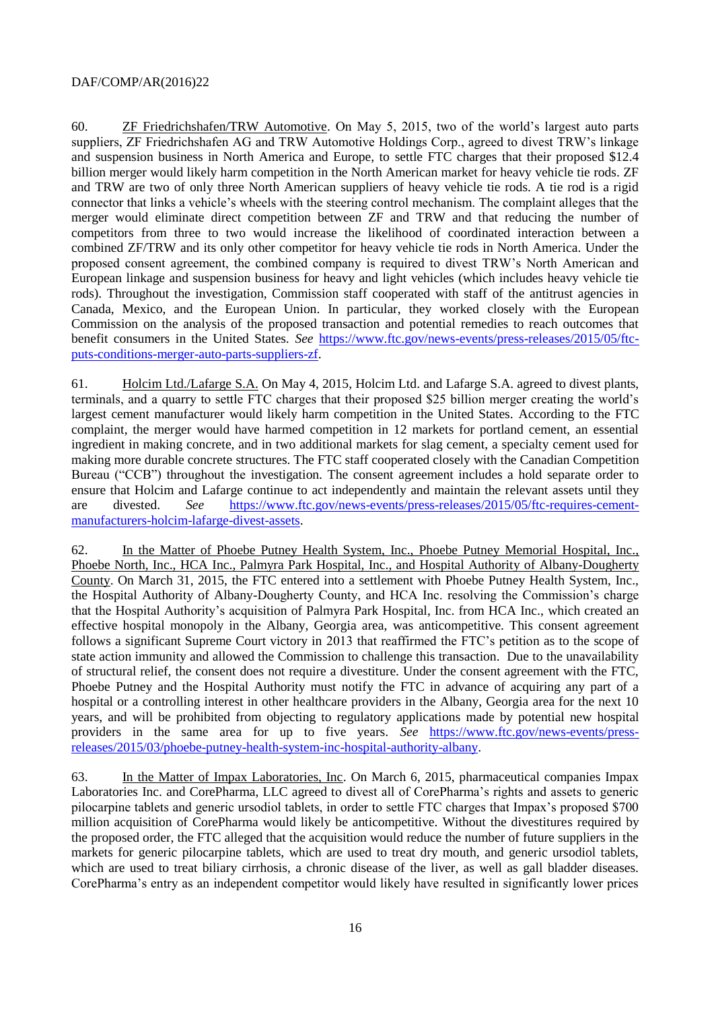60. ZF Friedrichshafen/TRW Automotive. On May 5, 2015, two of the world's largest auto parts suppliers, ZF Friedrichshafen AG and TRW Automotive Holdings Corp., agreed to divest TRW's linkage and suspension business in North America and Europe, to settle FTC charges that their proposed \$12.4 billion merger would likely harm competition in the North American market for heavy vehicle tie rods. ZF and TRW are two of only three North American suppliers of heavy vehicle tie rods. A tie rod is a rigid connector that links a vehicle's wheels with the steering control mechanism. The complaint alleges that the merger would eliminate direct competition between ZF and TRW and that reducing the number of competitors from three to two would increase the likelihood of coordinated interaction between a combined ZF/TRW and its only other competitor for heavy vehicle tie rods in North America. Under the proposed consent agreement, the combined company is required to divest TRW's North American and European linkage and suspension business for heavy and light vehicles (which includes heavy vehicle tie rods). Throughout the investigation, Commission staff cooperated with staff of the antitrust agencies in Canada, Mexico, and the European Union. In particular, they worked closely with the European Commission on the analysis of the proposed transaction and potential remedies to reach outcomes that benefit consumers in the United States. *See* [https://www.ftc.gov/news-events/press-releases/2015/05/ftc](https://www.ftc.gov/news-events/press-releases/2015/05/ftc-puts-conditions-merger-auto-parts-suppliers-zf)[puts-conditions-merger-auto-parts-suppliers-zf.](https://www.ftc.gov/news-events/press-releases/2015/05/ftc-puts-conditions-merger-auto-parts-suppliers-zf)

61. Holcim Ltd./Lafarge S.A. On May 4, 2015, Holcim Ltd. and Lafarge S.A. agreed to divest plants, terminals, and a quarry to settle FTC charges that their proposed \$25 billion merger creating the world's largest cement manufacturer would likely harm competition in the United States. According to the FTC complaint, the merger would have harmed competition in 12 markets for portland cement, an essential ingredient in making concrete, and in two additional markets for slag cement, a specialty cement used for making more durable concrete structures. The FTC staff cooperated closely with the Canadian Competition Bureau ("CCB") throughout the investigation. The consent agreement includes a hold separate order to ensure that Holcim and Lafarge continue to act independently and maintain the relevant assets until they are divested. *See* [https://www.ftc.gov/news-events/press-releases/2015/05/ftc-requires-cement](https://www.ftc.gov/news-events/press-releases/2015/05/ftc-requires-cement-manufacturers-holcim-lafarge-divest-assets)[manufacturers-holcim-lafarge-divest-assets.](https://www.ftc.gov/news-events/press-releases/2015/05/ftc-requires-cement-manufacturers-holcim-lafarge-divest-assets)

62. In the Matter of Phoebe Putney Health System, Inc., Phoebe Putney Memorial Hospital, Inc., Phoebe North, Inc., HCA Inc., Palmyra Park Hospital, Inc., and Hospital Authority of Albany-Dougherty County. On March 31, 2015, the FTC entered into a settlement with Phoebe Putney Health System, Inc., the Hospital Authority of Albany-Dougherty County, and HCA Inc. resolving the Commission's charge that the Hospital Authority's acquisition of Palmyra Park Hospital, Inc. from HCA Inc., which created an effective hospital monopoly in the Albany, Georgia area, was anticompetitive. This consent agreement follows a significant Supreme Court victory in 2013 that reaffirmed the FTC's petition as to the scope of state action immunity and allowed the Commission to challenge this transaction. Due to the unavailability of structural relief, the consent does not require a divestiture. Under the consent agreement with the FTC, Phoebe Putney and the Hospital Authority must notify the FTC in advance of acquiring any part of a hospital or a controlling interest in other healthcare providers in the Albany, Georgia area for the next 10 years, and will be prohibited from objecting to regulatory applications made by potential new hospital providers in the same area for up to five years. *See* [https://www.ftc.gov/news-events/press](https://www.ftc.gov/news-events/press-releases/2015/03/phoebe-putney-health-system-inc-hospital-authority-albany)[releases/2015/03/phoebe-putney-health-system-inc-hospital-authority-albany.](https://www.ftc.gov/news-events/press-releases/2015/03/phoebe-putney-health-system-inc-hospital-authority-albany)

63. In the Matter of Impax Laboratories, Inc. On March 6, 2015, pharmaceutical companies Impax Laboratories Inc. and CorePharma, LLC agreed to divest all of CorePharma's rights and assets to generic pilocarpine tablets and generic ursodiol tablets, in order to settle FTC charges that Impax's proposed \$700 million acquisition of CorePharma would likely be anticompetitive. Without the divestitures required by the proposed order, the FTC alleged that the acquisition would reduce the number of future suppliers in the markets for generic pilocarpine tablets, which are used to treat dry mouth, and generic ursodiol tablets, which are used to treat biliary cirrhosis, a chronic disease of the liver, as well as gall bladder diseases. CorePharma's entry as an independent competitor would likely have resulted in significantly lower prices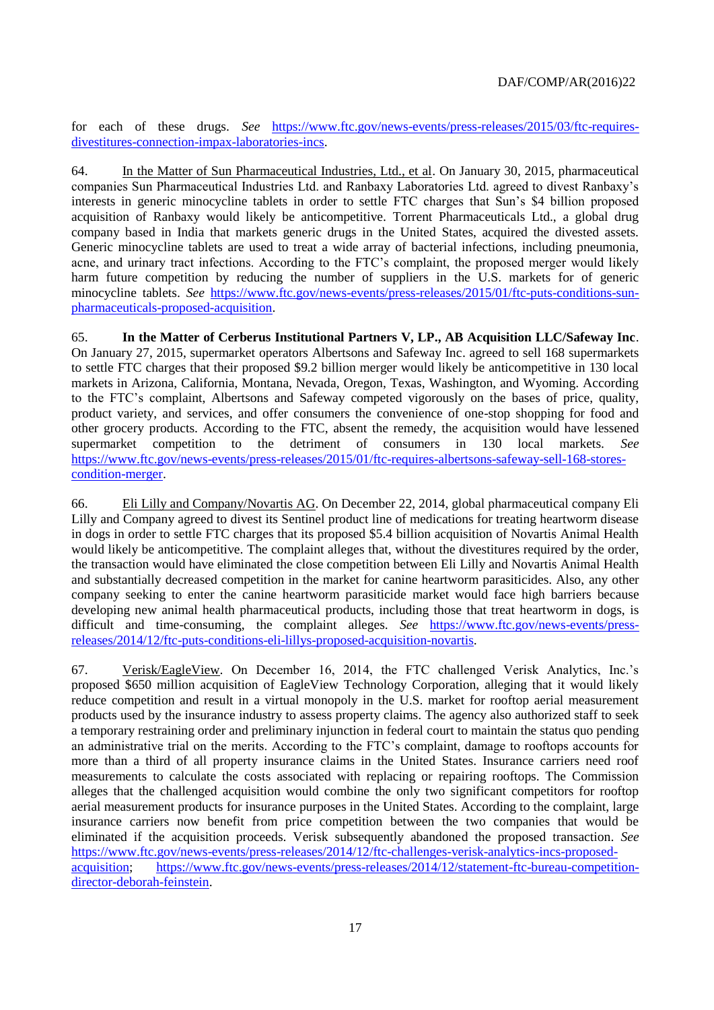for each of these drugs. *See* [https://www.ftc.gov/news-events/press-releases/2015/03/ftc-requires](https://www.ftc.gov/news-events/press-releases/2015/03/ftc-requires-divestitures-connection-impax-laboratories-incs)[divestitures-connection-impax-laboratories-incs.](https://www.ftc.gov/news-events/press-releases/2015/03/ftc-requires-divestitures-connection-impax-laboratories-incs)

64. In the Matter of Sun Pharmaceutical Industries, Ltd., et al. On January 30, 2015, pharmaceutical companies Sun Pharmaceutical Industries Ltd. and Ranbaxy Laboratories Ltd. agreed to divest Ranbaxy's interests in generic minocycline tablets in order to settle FTC charges that Sun's \$4 billion proposed acquisition of Ranbaxy would likely be anticompetitive. Torrent Pharmaceuticals Ltd., a global drug company based in India that markets generic drugs in the United States, acquired the divested assets. Generic minocycline tablets are used to treat a wide array of bacterial infections, including pneumonia, acne, and urinary tract infections. According to the FTC's complaint, the proposed merger would likely harm future competition by reducing the number of suppliers in the U.S. markets for of generic minocycline tablets. *See* [https://www.ftc.gov/news-events/press-releases/2015/01/ftc-puts-conditions-sun](https://www.ftc.gov/news-events/press-releases/2015/01/ftc-puts-conditions-sun-pharmaceuticals-proposed-acquisition)[pharmaceuticals-proposed-acquisition.](https://www.ftc.gov/news-events/press-releases/2015/01/ftc-puts-conditions-sun-pharmaceuticals-proposed-acquisition)

65. **In the Matter of Cerberus Institutional Partners V, LP., AB Acquisition LLC/Safeway Inc**. On January 27, 2015, supermarket operators Albertsons and Safeway Inc. agreed to sell 168 supermarkets to settle FTC charges that their proposed \$9.2 billion merger would likely be anticompetitive in 130 local markets in Arizona, California, Montana, Nevada, Oregon, Texas, Washington, and Wyoming. According to the FTC's complaint, Albertsons and Safeway competed vigorously on the bases of price, quality, product variety, and services, and offer consumers the convenience of one-stop shopping for food and other grocery products. According to the FTC, absent the remedy, the acquisition would have lessened supermarket competition to the detriment of consumers in 130 local markets. *See* [https://www.ftc.gov/news-events/press-releases/2015/01/ftc-requires-albertsons-safeway-sell-168-stores](https://www.ftc.gov/news-events/press-releases/2015/01/ftc-requires-albertsons-safeway-sell-168-stores-condition-merger)[condition-merger.](https://www.ftc.gov/news-events/press-releases/2015/01/ftc-requires-albertsons-safeway-sell-168-stores-condition-merger)

66. Eli Lilly and Company/Novartis AG. On December 22, 2014, global pharmaceutical company Eli Lilly and Company agreed to divest its Sentinel product line of medications for treating heartworm disease in dogs in order to settle FTC charges that its proposed \$5.4 billion acquisition of Novartis Animal Health would likely be anticompetitive. The complaint alleges that, without the divestitures required by the order, the transaction would have eliminated the close competition between Eli Lilly and Novartis Animal Health and substantially decreased competition in the market for canine heartworm parasiticides. Also, any other company seeking to enter the canine heartworm parasiticide market would face high barriers because developing new animal health pharmaceutical products, including those that treat heartworm in dogs, is difficult and time-consuming, the complaint alleges. *See* [https://www.ftc.gov/news-events/press](https://www.ftc.gov/news-events/press-releases/2014/12/ftc-puts-conditions-eli-lillys-proposed-acquisition-novartis)[releases/2014/12/ftc-puts-conditions-eli-lillys-proposed-acquisition-novartis.](https://www.ftc.gov/news-events/press-releases/2014/12/ftc-puts-conditions-eli-lillys-proposed-acquisition-novartis)

67. Verisk/EagleView. On December 16, 2014, the FTC challenged Verisk Analytics, Inc.'s proposed \$650 million acquisition of EagleView Technology Corporation, alleging that it would likely reduce competition and result in a virtual monopoly in the U.S. market for rooftop aerial measurement products used by the insurance industry to assess property claims. The agency also authorized staff to seek a temporary restraining order and preliminary injunction in federal court to maintain the status quo pending an administrative trial on the merits. According to the FTC's complaint, damage to rooftops accounts for more than a third of all property insurance claims in the United States. Insurance carriers need roof measurements to calculate the costs associated with replacing or repairing rooftops. The Commission alleges that the challenged acquisition would combine the only two significant competitors for rooftop aerial measurement products for insurance purposes in the United States. According to the complaint, large insurance carriers now benefit from price competition between the two companies that would be eliminated if the acquisition proceeds. Verisk subsequently abandoned the proposed transaction. *See* [https://www.ftc.gov/news-events/press-releases/2014/12/ftc-challenges-verisk-analytics-incs-proposed](https://www.ftc.gov/news-events/press-releases/2014/12/ftc-challenges-verisk-analytics-incs-proposed-acquisition)[acquisition;](https://www.ftc.gov/news-events/press-releases/2014/12/ftc-challenges-verisk-analytics-incs-proposed-acquisition) [https://www.ftc.gov/news-events/press-releases/2014/12/statement-ftc-bureau-competition](https://www.ftc.gov/news-events/press-releases/2014/12/statement-ftc-bureau-competition-director-deborah-feinstein)[director-deborah-feinstein.](https://www.ftc.gov/news-events/press-releases/2014/12/statement-ftc-bureau-competition-director-deborah-feinstein)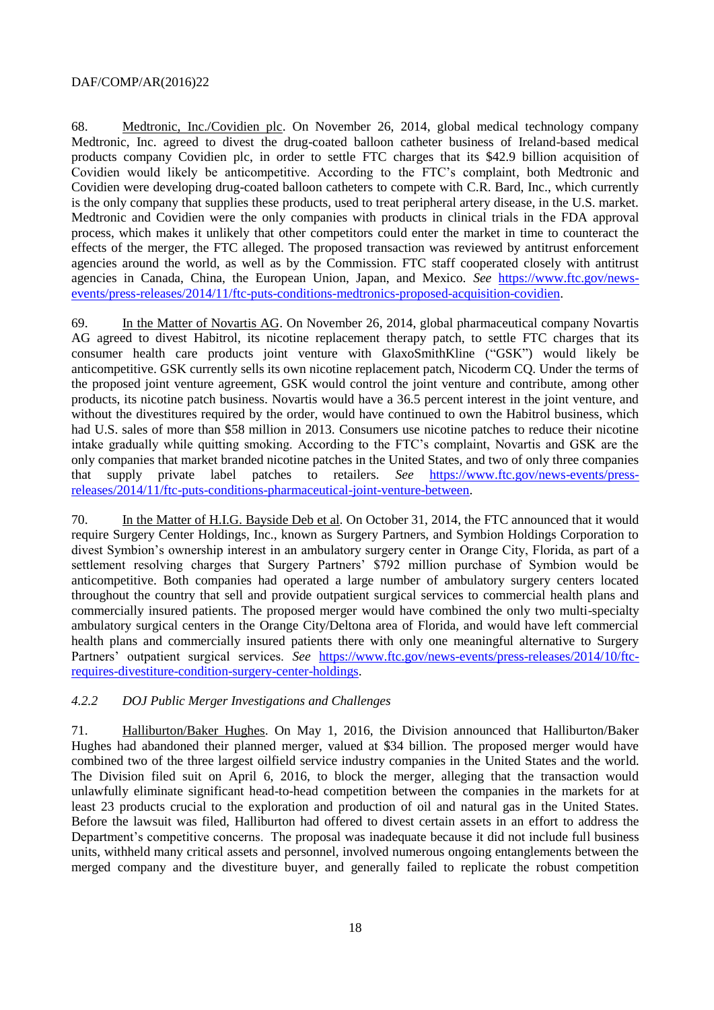68. Medtronic, Inc./Covidien plc. On November 26, 2014, global medical technology company Medtronic, Inc. agreed to divest the drug-coated balloon catheter business of Ireland-based medical products company Covidien plc, in order to settle FTC charges that its \$42.9 billion acquisition of Covidien would likely be anticompetitive. According to the FTC's complaint, both Medtronic and Covidien were developing drug-coated balloon catheters to compete with C.R. Bard, Inc., which currently is the only company that supplies these products, used to treat peripheral artery disease, in the U.S. market. Medtronic and Covidien were the only companies with products in clinical trials in the FDA approval process, which makes it unlikely that other competitors could enter the market in time to counteract the effects of the merger, the FTC alleged. The proposed transaction was reviewed by antitrust enforcement agencies around the world, as well as by the Commission. FTC staff cooperated closely with antitrust agencies in Canada, China, the European Union, Japan, and Mexico. *See* [https://www.ftc.gov/news](https://www.ftc.gov/news-events/press-releases/2014/11/ftc-puts-conditions-medtronics-proposed-acquisition-covidien)[events/press-releases/2014/11/ftc-puts-conditions-medtronics-proposed-acquisition-covidien.](https://www.ftc.gov/news-events/press-releases/2014/11/ftc-puts-conditions-medtronics-proposed-acquisition-covidien)

69. In the Matter of Novartis AG. On November 26, 2014, global pharmaceutical company Novartis AG agreed to divest Habitrol, its nicotine replacement therapy patch, to settle FTC charges that its consumer health care products joint venture with GlaxoSmithKline ("GSK") would likely be anticompetitive. GSK currently sells its own nicotine replacement patch, Nicoderm CQ. Under the terms of the proposed joint venture agreement, GSK would control the joint venture and contribute, among other products, its nicotine patch business. Novartis would have a 36.5 percent interest in the joint venture, and without the divestitures required by the order, would have continued to own the Habitrol business, which had U.S. sales of more than \$58 million in 2013. Consumers use nicotine patches to reduce their nicotine intake gradually while quitting smoking. According to the FTC's complaint, Novartis and GSK are the only companies that market branded nicotine patches in the United States, and two of only three companies that supply private label patches to retailers. *See* [https://www.ftc.gov/news-events/press](https://www.ftc.gov/news-events/press-releases/2014/11/ftc-puts-conditions-pharmaceutical-joint-venture-between)[releases/2014/11/ftc-puts-conditions-pharmaceutical-joint-venture-between.](https://www.ftc.gov/news-events/press-releases/2014/11/ftc-puts-conditions-pharmaceutical-joint-venture-between)

70. In the Matter of H.I.G. Bayside Deb et al. On October 31, 2014, the FTC announced that it would require Surgery Center Holdings, Inc., known as Surgery Partners, and Symbion Holdings Corporation to divest Symbion's ownership interest in an ambulatory surgery center in Orange City, Florida, as part of a settlement resolving charges that Surgery Partners' \$792 million purchase of Symbion would be anticompetitive. Both companies had operated a large number of ambulatory surgery centers located throughout the country that sell and provide outpatient surgical services to commercial health plans and commercially insured patients. The proposed merger would have combined the only two multi-specialty ambulatory surgical centers in the Orange City/Deltona area of Florida, and would have left commercial health plans and commercially insured patients there with only one meaningful alternative to Surgery Partners' outpatient surgical services. *See* [https://www.ftc.gov/news-events/press-releases/2014/10/ftc](https://www.ftc.gov/news-events/press-releases/2014/10/ftc-requires-divestiture-condition-surgery-center-holdings)[requires-divestiture-condition-surgery-center-holdings.](https://www.ftc.gov/news-events/press-releases/2014/10/ftc-requires-divestiture-condition-surgery-center-holdings)

#### *4.2.2 DOJ Public Merger Investigations and Challenges*

71. Halliburton/Baker Hughes. On May 1, 2016, the Division announced that Halliburton/Baker Hughes had abandoned their planned merger, valued at \$34 billion. The proposed merger would have combined two of the three largest oilfield service industry companies in the United States and the world. The Division filed suit on April 6, 2016, to block the merger, alleging that the transaction would unlawfully eliminate significant head-to-head competition between the companies in the markets for at least 23 products crucial to the exploration and production of oil and natural gas in the United States. Before the lawsuit was filed, Halliburton had offered to divest certain assets in an effort to address the Department's competitive concerns. The proposal was inadequate because it did not include full business units, withheld many critical assets and personnel, involved numerous ongoing entanglements between the merged company and the divestiture buyer, and generally failed to replicate the robust competition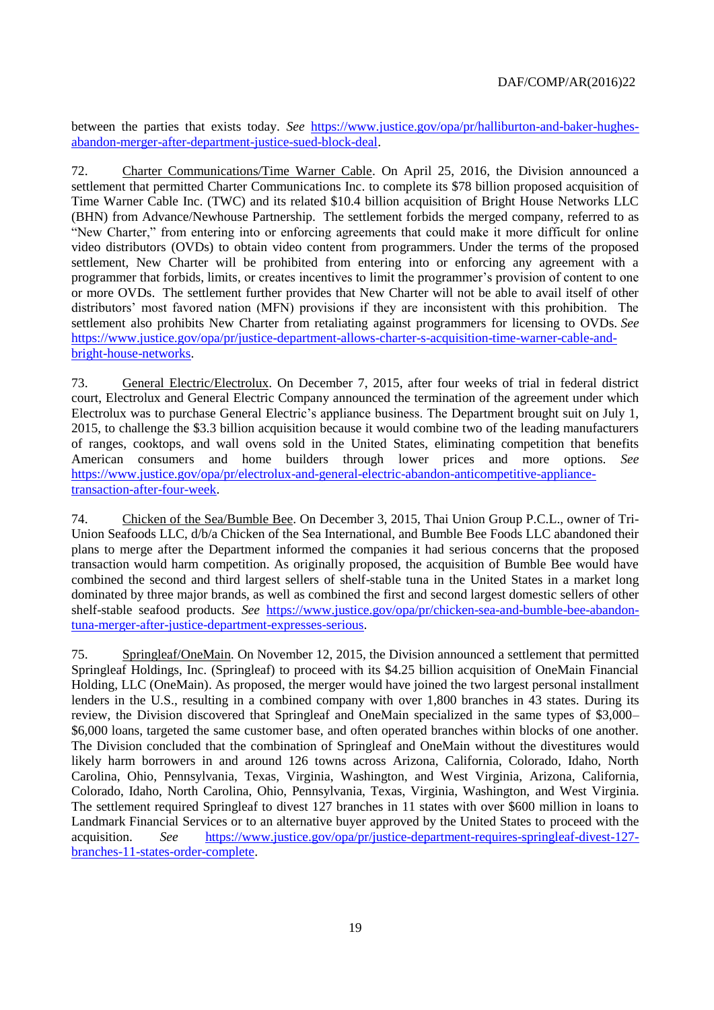between the parties that exists today. *See* [https://www.justice.gov/opa/pr/halliburton-and-baker-hughes](https://www.justice.gov/opa/pr/halliburton-and-baker-hughes-abandon-merger-after-department-justice-sued-block-deal)[abandon-merger-after-department-justice-sued-block-deal.](https://www.justice.gov/opa/pr/halliburton-and-baker-hughes-abandon-merger-after-department-justice-sued-block-deal)

72. Charter Communications/Time Warner Cable. On April 25, 2016, the Division announced a settlement that permitted Charter Communications Inc. to complete its \$78 billion proposed acquisition of Time Warner Cable Inc. (TWC) and its related \$10.4 billion acquisition of Bright House Networks LLC (BHN) from Advance/Newhouse Partnership. The settlement forbids the merged company, referred to as "New Charter," from entering into or enforcing agreements that could make it more difficult for online video distributors (OVDs) to obtain video content from programmers. Under the terms of the proposed settlement, New Charter will be prohibited from entering into or enforcing any agreement with a programmer that forbids, limits, or creates incentives to limit the programmer's provision of content to one or more OVDs. The settlement further provides that New Charter will not be able to avail itself of other distributors' most favored nation (MFN) provisions if they are inconsistent with this prohibition. The settlement also prohibits New Charter from retaliating against programmers for licensing to OVDs. *See* [https://www.justice.gov/opa/pr/justice-department-allows-charter-s-acquisition-time-warner-cable-and](https://www.justice.gov/opa/pr/justice-department-allows-charter-s-acquisition-time-warner-cable-and-bright-house-networks)[bright-house-networks.](https://www.justice.gov/opa/pr/justice-department-allows-charter-s-acquisition-time-warner-cable-and-bright-house-networks)

73. General Electric/Electrolux. On December 7, 2015, after four weeks of trial in federal district court, Electrolux and General Electric Company announced the termination of the agreement under which Electrolux was to purchase General Electric's appliance business. The Department brought suit on July 1, 2015, to challenge the \$3.3 billion acquisition because it would combine two of the leading manufacturers of ranges, cooktops, and wall ovens sold in the United States, eliminating competition that benefits American consumers and home builders through lower prices and more options. *See*  [https://www.justice.gov/opa/pr/electrolux-and-general-electric-abandon-anticompetitive-appliance](https://www.justice.gov/opa/pr/electrolux-and-general-electric-abandon-anticompetitive-appliance-transaction-after-four-week)[transaction-after-four-week.](https://www.justice.gov/opa/pr/electrolux-and-general-electric-abandon-anticompetitive-appliance-transaction-after-four-week)

74. Chicken of the Sea/Bumble Bee. On December 3, 2015, Thai Union Group P.C.L., owner of Tri-Union Seafoods LLC, d/b/a Chicken of the Sea International, and Bumble Bee Foods LLC abandoned their plans to merge after the Department informed the companies it had serious concerns that the proposed transaction would harm competition. As originally proposed, the acquisition of Bumble Bee would have combined the second and third largest sellers of shelf-stable tuna in the United States in a market long dominated by three major brands, as well as combined the first and second largest domestic sellers of other shelf-stable seafood products. *See* [https://www.justice.gov/opa/pr/chicken-sea-and-bumble-bee-abandon](https://www.justice.gov/opa/pr/chicken-sea-and-bumble-bee-abandon-tuna-merger-after-justice-department-expresses-serious)[tuna-merger-after-justice-department-expresses-serious.](https://www.justice.gov/opa/pr/chicken-sea-and-bumble-bee-abandon-tuna-merger-after-justice-department-expresses-serious)

75. Springleaf/OneMain. On November 12, 2015, the Division announced a settlement that permitted Springleaf Holdings, Inc. (Springleaf) to proceed with its \$4.25 billion acquisition of OneMain Financial Holding, LLC (OneMain). As proposed, the merger would have joined the two largest personal installment lenders in the U.S., resulting in a combined company with over 1,800 branches in 43 states. During its review, the Division discovered that Springleaf and OneMain specialized in the same types of \$3,000– \$6,000 loans, targeted the same customer base, and often operated branches within blocks of one another. The Division concluded that the combination of Springleaf and OneMain without the divestitures would likely harm borrowers in and around 126 towns across Arizona, California, Colorado, Idaho, North Carolina, Ohio, Pennsylvania, Texas, Virginia, Washington, and West Virginia, Arizona, California, Colorado, Idaho, North Carolina, Ohio, Pennsylvania, Texas, Virginia, Washington, and West Virginia. The settlement required Springleaf to divest 127 branches in 11 states with over \$600 million in loans to Landmark Financial Services or to an alternative buyer approved by the United States to proceed with the acquisition. *See* [https://www.justice.gov/opa/pr/justice-department-requires-springleaf-divest-127](https://www.justice.gov/opa/pr/justice-department-requires-springleaf-divest-127-branches-11-states-order-complete) [branches-11-states-order-complete.](https://www.justice.gov/opa/pr/justice-department-requires-springleaf-divest-127-branches-11-states-order-complete)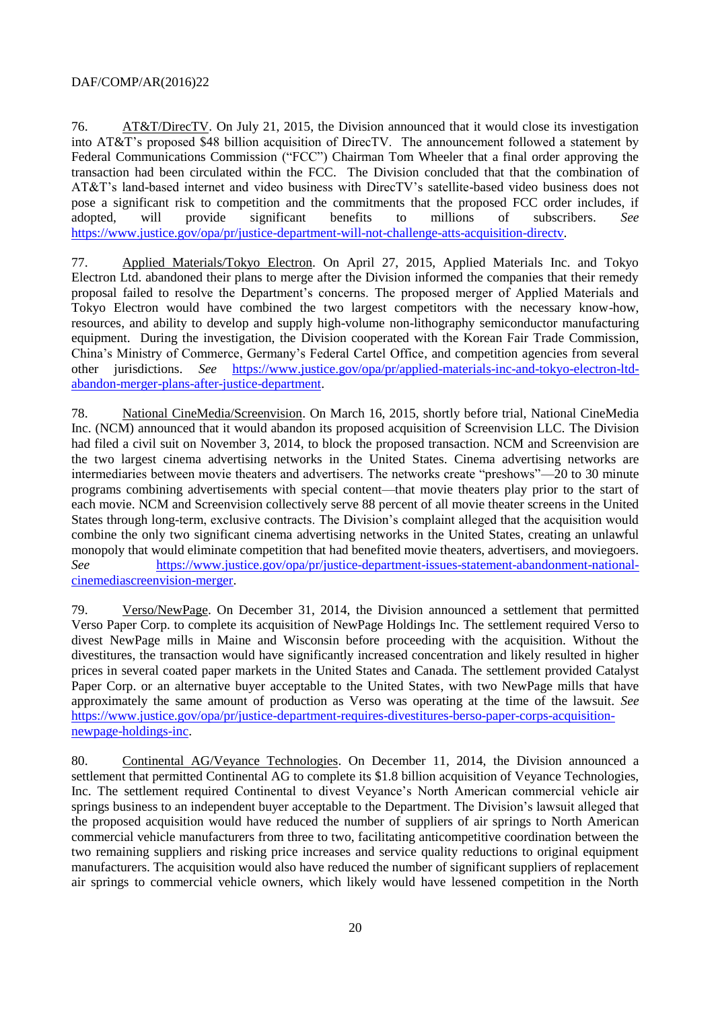76. AT&T/DirecTV. On July 21, 2015, the Division announced that it would close its investigation into AT&T's proposed \$48 billion acquisition of DirecTV. The announcement followed a statement by Federal Communications Commission ("FCC") Chairman Tom Wheeler that a final order approving the transaction had been circulated within the FCC. The Division concluded that that the combination of AT&T's land-based internet and video business with DirecTV's satellite-based video business does not pose a significant risk to competition and the commitments that the proposed FCC order includes, if adopted, will provide significant benefits to millions of subscribers. *See* [https://www.justice.gov/opa/pr/justice-department-will-not-challenge-atts-acquisition-directv.](https://www.justice.gov/opa/pr/justice-department-will-not-challenge-atts-acquisition-directv)

77. Applied Materials/Tokyo Electron. On April 27, 2015, Applied Materials Inc. and Tokyo Electron Ltd. abandoned their plans to merge after the Division informed the companies that their remedy proposal failed to resolve the Department's concerns. The proposed merger of Applied Materials and Tokyo Electron would have combined the two largest competitors with the necessary know-how, resources, and ability to develop and supply high-volume non-lithography semiconductor manufacturing equipment. During the investigation, the Division cooperated with the Korean Fair Trade Commission, China's Ministry of Commerce, Germany's Federal Cartel Office, and competition agencies from several other jurisdictions. *See* [https://www.justice.gov/opa/pr/applied-materials-inc-and-tokyo-electron-ltd](https://www.justice.gov/opa/pr/applied-materials-inc-and-tokyo-electron-ltd-abandon-merger-plans-after-justice-department)[abandon-merger-plans-after-justice-department.](https://www.justice.gov/opa/pr/applied-materials-inc-and-tokyo-electron-ltd-abandon-merger-plans-after-justice-department)

78. National CineMedia/Screenvision. On March 16, 2015, shortly before trial, National CineMedia Inc. (NCM) announced that it would abandon its proposed acquisition of Screenvision LLC. [The Division](https://www.justice.gov/atr/public/press_releases/2014/309656.htm)  [had filed a civil suit on November 3, 2014,](https://www.justice.gov/atr/public/press_releases/2014/309656.htm) to block the proposed transaction. NCM and Screenvision are the two largest cinema advertising networks in the United States. Cinema advertising networks are intermediaries between movie theaters and advertisers. The networks create "preshows"—20 to 30 minute programs combining advertisements with special content—that movie theaters play prior to the start of each movie. NCM and Screenvision collectively serve 88 percent of all movie theater screens in the United States through long-term, exclusive contracts. The Division's complaint alleged that the acquisition would combine the only two significant cinema advertising networks in the United States, creating an unlawful monopoly that would eliminate competition that had benefited movie theaters, advertisers, and moviegoers. *See* [https://www.justice.gov/opa/pr/justice-department-issues-statement-abandonment-national](https://www.justice.gov/opa/pr/justice-department-issues-statement-abandonment-national-cinemediascreenvision-merger)[cinemediascreenvision-merger.](https://www.justice.gov/opa/pr/justice-department-issues-statement-abandonment-national-cinemediascreenvision-merger)

79. Verso/NewPage. On December 31, 2014, the Division announced a settlement that permitted Verso Paper Corp. to complete its acquisition of NewPage Holdings Inc. The settlement required Verso to divest NewPage mills in Maine and Wisconsin before proceeding with the acquisition. Without the divestitures, the transaction would have significantly increased concentration and likely resulted in higher prices in several coated paper markets in the United States and Canada. The settlement provided Catalyst Paper Corp. or an alternative buyer acceptable to the United States, with two NewPage mills that have approximately the same amount of production as Verso was operating at the time of the lawsuit. *See* [https://www.justice.gov/opa/pr/justice-department-requires-divestitures-berso-paper-corps-acquisition](https://www.justice.gov/opa/pr/justice-department-requires-divestitures-berso-paper-corps-acquisition-newpage-holdings-inc)[newpage-holdings-inc.](https://www.justice.gov/opa/pr/justice-department-requires-divestitures-berso-paper-corps-acquisition-newpage-holdings-inc)

80. Continental AG/Veyance Technologies. On December 11, 2014, the Division announced a settlement that permitted Continental AG to complete its \$1.8 billion acquisition of Veyance Technologies, Inc. The settlement required Continental to divest Veyance's North American commercial vehicle air springs business to an independent buyer acceptable to the Department. The Division's lawsuit alleged that the proposed acquisition would have reduced the number of suppliers of air springs to North American commercial vehicle manufacturers from three to two, facilitating anticompetitive coordination between the two remaining suppliers and risking price increases and service quality reductions to original equipment manufacturers. The acquisition would also have reduced the number of significant suppliers of replacement air springs to commercial vehicle owners, which likely would have lessened competition in the North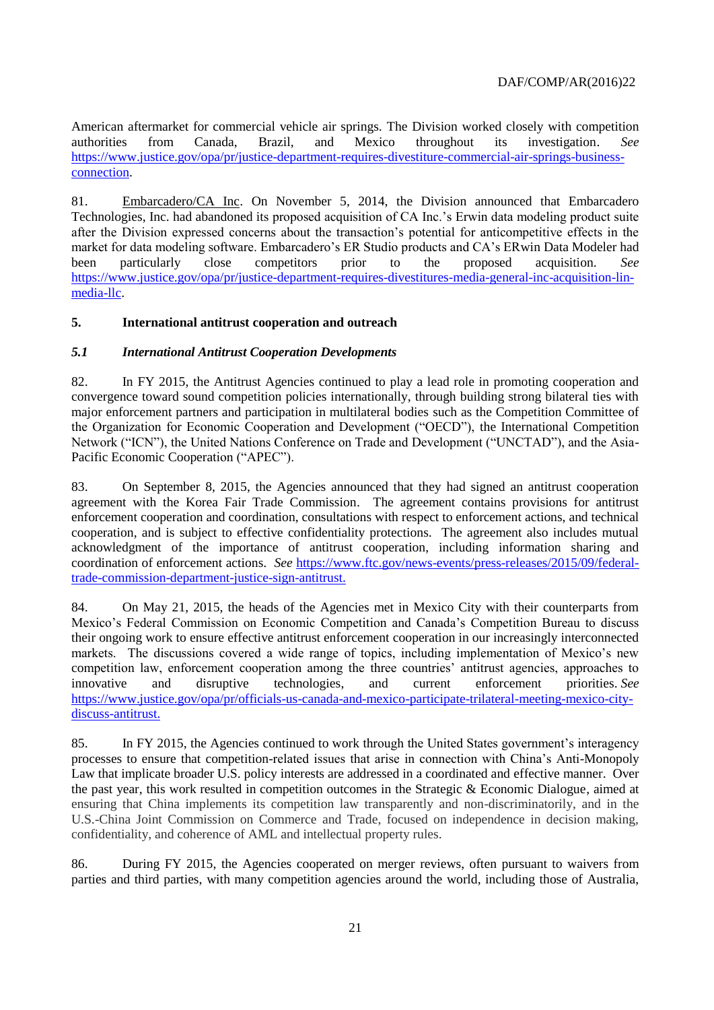American aftermarket for commercial vehicle air springs. The Division worked closely with competition authorities from Canada, Brazil, and Mexico throughout its investigation. *See* [https://www.justice.gov/opa/pr/justice-department-requires-divestiture-commercial-air-springs-business](https://www.justice.gov/opa/pr/justice-department-requires-divestiture-commercial-air-springs-business-connection)[connection.](https://www.justice.gov/opa/pr/justice-department-requires-divestiture-commercial-air-springs-business-connection)

81. Embarcadero/CA Inc. On November 5, 2014, the Division announced that Embarcadero Technologies, Inc. had abandoned its proposed acquisition of CA Inc.'s Erwin data modeling product suite after the Division expressed concerns about the transaction's potential for anticompetitive effects in the market for data modeling software. Embarcadero's ER Studio products and CA's ERwin Data Modeler had been particularly close competitors prior to the proposed acquisition. *See* [https://www.justice.gov/opa/pr/justice-department-requires-divestitures-media-general-inc-acquisition-lin](https://www.justice.gov/opa/pr/justice-department-requires-divestitures-media-general-inc-acquisition-lin-media-llc)[media-llc.](https://www.justice.gov/opa/pr/justice-department-requires-divestitures-media-general-inc-acquisition-lin-media-llc)

## <span id="page-20-0"></span>**5. International antitrust cooperation and outreach**

#### <span id="page-20-1"></span>*5.1 International Antitrust Cooperation Developments*

82. In FY 2015, the Antitrust Agencies continued to play a lead role in promoting cooperation and convergence toward sound competition policies internationally, through building strong bilateral ties with major enforcement partners and participation in multilateral bodies such as the Competition Committee of the Organization for Economic Cooperation and Development ("OECD"), the International Competition Network ("ICN"), the United Nations Conference on Trade and Development ("UNCTAD"), and the Asia-Pacific Economic Cooperation ("APEC").

83. On September 8, 2015, the Agencies announced that they had signed an antitrust cooperation agreement with the Korea Fair Trade Commission. The agreement contains provisions for antitrust enforcement cooperation and coordination, consultations with respect to enforcement actions, and technical cooperation, and is subject to effective confidentiality protections. The agreement also includes mutual acknowledgment of the importance of antitrust cooperation, including information sharing and coordination of enforcement actions. *See* [https://www.ftc.gov/news-events/press-releases/2015/09/federal](https://www.ftc.gov/news-events/press-releases/2015/09/federal-trade-commission-department-justice-sign-antitrust)[trade-commission-department-justice-sign-antitrust.](https://www.ftc.gov/news-events/press-releases/2015/09/federal-trade-commission-department-justice-sign-antitrust)

84. On May 21, 2015, the heads of the Agencies met in Mexico City with their counterparts from Mexico's Federal Commission on Economic Competition and Canada's Competition Bureau to discuss their ongoing work to ensure effective antitrust enforcement cooperation in our increasingly interconnected markets. The discussions covered a wide range of topics, including implementation of Mexico's new competition law, enforcement cooperation among the three countries' antitrust agencies, approaches to innovative and disruptive technologies, and current enforcement priorities. *See* [https://www.justice.gov/opa/pr/officials-us-canada-and-mexico-participate-trilateral-meeting-mexico-city](https://www.justice.gov/opa/pr/officials-us-canada-and-mexico-participate-trilateral-meeting-mexico-city-discuss-antitrust)[discuss-antitrust.](https://www.justice.gov/opa/pr/officials-us-canada-and-mexico-participate-trilateral-meeting-mexico-city-discuss-antitrust)

85. In FY 2015, the Agencies continued to work through the United States government's interagency processes to ensure that competition-related issues that arise in connection with China's Anti-Monopoly Law that implicate broader U.S. policy interests are addressed in a coordinated and effective manner. Over the past year, this work resulted in competition outcomes in the Strategic & Economic Dialogue, aimed at ensuring that China implements its competition law transparently and non-discriminatorily, and in the U.S.-China Joint Commission on Commerce and Trade, focused on independence in decision making, confidentiality, and coherence of AML and intellectual property rules.

86. During FY 2015, the Agencies cooperated on merger reviews, often pursuant to waivers from parties and third parties, with many competition agencies around the world, including those of Australia,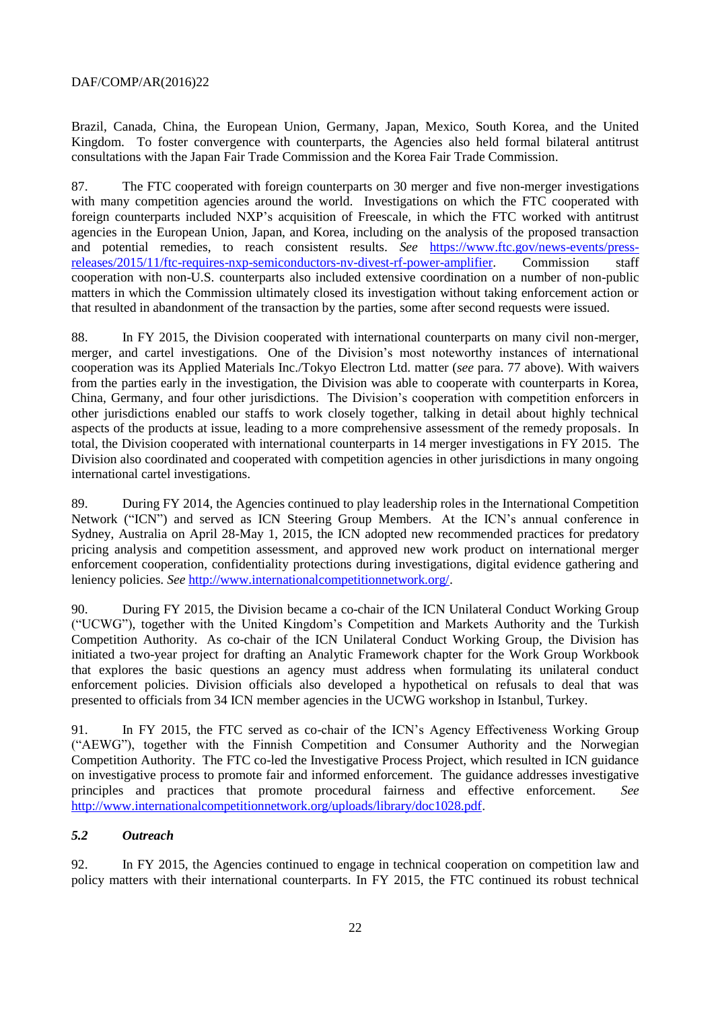Brazil, Canada, China, the European Union, Germany, Japan, Mexico, South Korea, and the United Kingdom. To foster convergence with counterparts, the Agencies also held formal bilateral antitrust consultations with the Japan Fair Trade Commission and the Korea Fair Trade Commission.

87. The FTC cooperated with foreign counterparts on 30 merger and five non-merger investigations with many competition agencies around the world. Investigations on which the FTC cooperated with foreign counterparts included NXP's acquisition of Freescale, in which the FTC worked with antitrust agencies in the European Union, Japan, and Korea, including on the analysis of the proposed transaction and potential remedies, to reach consistent results. *See* [https://www.ftc.gov/news-events/press](https://www.ftc.gov/news-events/press-releases/2015/11/ftc-requires-nxp-semiconductors-nv-divest-rf-power-amplifier)[releases/2015/11/ftc-requires-nxp-semiconductors-nv-divest-rf-power-amplifier.](https://www.ftc.gov/news-events/press-releases/2015/11/ftc-requires-nxp-semiconductors-nv-divest-rf-power-amplifier) Commission staff cooperation with non-U.S. counterparts also included extensive coordination on a number of non-public matters in which the Commission ultimately closed its investigation without taking enforcement action or that resulted in abandonment of the transaction by the parties, some after second requests were issued.

88. In FY 2015, the Division cooperated with international counterparts on many civil non-merger, merger, and cartel investigations. One of the Division's most noteworthy instances of international cooperation was its Applied Materials Inc./Tokyo Electron Ltd. matter (*see* para. 77 above). With waivers from the parties early in the investigation, the Division was able to cooperate with counterparts in Korea, China, Germany, and four other jurisdictions. The Division's cooperation with competition enforcers in other jurisdictions enabled our staffs to work closely together, talking in detail about highly technical aspects of the products at issue, leading to a more comprehensive assessment of the remedy proposals. In total, the Division cooperated with international counterparts in 14 merger investigations in FY 2015*.* The Division also coordinated and cooperated with competition agencies in other jurisdictions in many ongoing international cartel investigations.

89. During FY 2014, the Agencies continued to play leadership roles in the International Competition Network ("ICN") and served as ICN Steering Group Members. At the ICN's annual conference in Sydney, Australia on April 28-May 1, 2015, the ICN adopted new recommended practices for predatory pricing analysis and competition assessment, and approved new work product on international merger enforcement cooperation, confidentiality protections during investigations, digital evidence gathering and leniency policies. *See* [http://www.internationalcompetitionnetwork.org/.](http://www.internationalcompetitionnetwork.org/)

90. During FY 2015, the Division became a co-chair of the ICN Unilateral Conduct Working Group ("UCWG"), together with the United Kingdom's Competition and Markets Authority and the Turkish Competition Authority. As co-chair of the ICN Unilateral Conduct Working Group, the Division has initiated a two-year project for drafting an Analytic Framework chapter for the Work Group Workbook that explores the basic questions an agency must address when formulating its unilateral conduct enforcement policies. Division officials also developed a hypothetical on refusals to deal that was presented to officials from 34 ICN member agencies in the UCWG workshop in Istanbul, Turkey.

91. In FY 2015, the FTC served as co-chair of the ICN's Agency Effectiveness Working Group ("AEWG"), together with the Finnish Competition and Consumer Authority and the Norwegian Competition Authority. The FTC co-led the Investigative Process Project, which resulted in ICN guidance on investigative process to promote fair and informed enforcement. The guidance addresses investigative principles and practices that promote procedural fairness and effective enforcement. *See* [http://www.internationalcompetitionnetwork.org/uploads/library/doc1028.pdf.](http://www.internationalcompetitionnetwork.org/uploads/library/doc1028.pdf)

#### <span id="page-21-0"></span>*5.2 Outreach*

92. In FY 2015, the Agencies continued to engage in technical cooperation on competition law and policy matters with their international counterparts. In FY 2015, the FTC continued its robust technical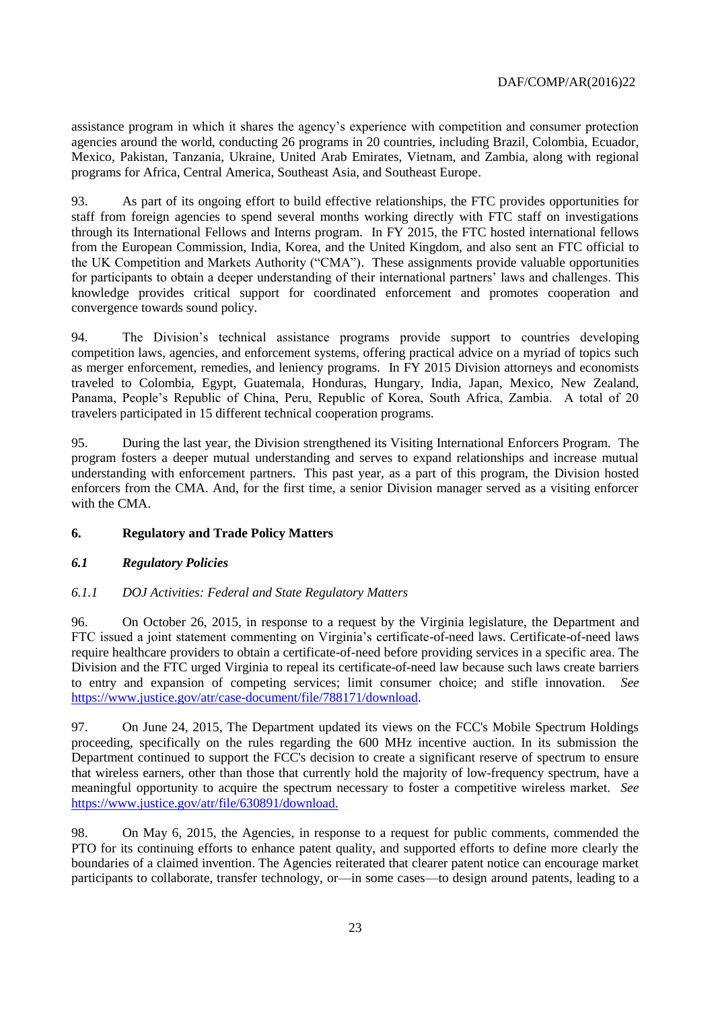assistance program in which it shares the agency's experience with competition and consumer protection agencies around the world, conducting 26 programs in 20 countries, including Brazil, Colombia, Ecuador, Mexico, Pakistan, Tanzania, Ukraine, United Arab Emirates, Vietnam, and Zambia, along with regional programs for Africa, Central America, Southeast Asia, and Southeast Europe.

93. As part of its ongoing effort to build effective relationships, the FTC provides opportunities for staff from foreign agencies to spend several months working directly with FTC staff on investigations through its International Fellows and Interns program. In FY 2015, the FTC hosted international fellows from the European Commission, India, Korea, and the United Kingdom, and also sent an FTC official to the UK Competition and Markets Authority ("CMA"). These assignments provide valuable opportunities for participants to obtain a deeper understanding of their international partners' laws and challenges. This knowledge provides critical support for coordinated enforcement and promotes cooperation and convergence towards sound policy.

94. The Division's technical assistance programs provide support to countries developing competition laws, agencies, and enforcement systems, offering practical advice on a myriad of topics such as merger enforcement, remedies, and leniency programs. In FY 2015 Division attorneys and economists traveled to Colombia, Egypt, Guatemala, Honduras, Hungary, India, Japan, Mexico, New Zealand, Panama, People's Republic of China, Peru, Republic of Korea, South Africa, Zambia. A total of 20 travelers participated in 15 different technical cooperation programs.

95. During the last year, the Division strengthened its Visiting International Enforcers Program. The program fosters a deeper mutual understanding and serves to expand relationships and increase mutual understanding with enforcement partners. This past year, as a part of this program, the Division hosted enforcers from the CMA. And, for the first time, a senior Division manager served as a visiting enforcer with the CMA.

# <span id="page-22-0"></span>**6. Regulatory and Trade Policy Matters**

#### <span id="page-22-1"></span>*6.1 Regulatory Policies*

#### *6.1.1 DOJ Activities: Federal and State Regulatory Matters*

96. On October 26, 2015, in response to a request by the Virginia legislature, the Department and FTC issued a joint statement commenting on Virginia's certificate-of-need laws. Certificate-of-need laws require healthcare providers to obtain a certificate-of-need before providing services in a specific area. The Division and the FTC urged Virginia to repeal its certificate-of-need law because such laws create barriers to entry and expansion of competing services; limit consumer choice; and stifle innovation. *See*  [https://www.justice.gov/atr/case-document/file/788171/download.](https://www.justice.gov/atr/case-document/file/788171/download)

97. On June 24, 2015, The Department updated its views on the FCC's Mobile Spectrum Holdings proceeding, specifically on the rules regarding the 600 MHz incentive auction. In its submission the Department continued to support the FCC's decision to create a significant reserve of spectrum to ensure that wireless earners, other than those that currently hold the majority of low-frequency spectrum, have a meaningful opportunity to acquire the spectrum necessary to foster a competitive wireless market. *See*  [https://www.justice.gov/atr/file/630891/download.](https://www.justice.gov/atr/file/630891/download)

98. On May 6, 2015, the Agencies, in response to a request for public comments, commended the PTO for its continuing efforts to enhance patent quality, and supported efforts to define more clearly the boundaries of a claimed invention. The Agencies reiterated that clearer patent notice can encourage market participants to collaborate, transfer technology, or—in some cases—to design around patents, leading to a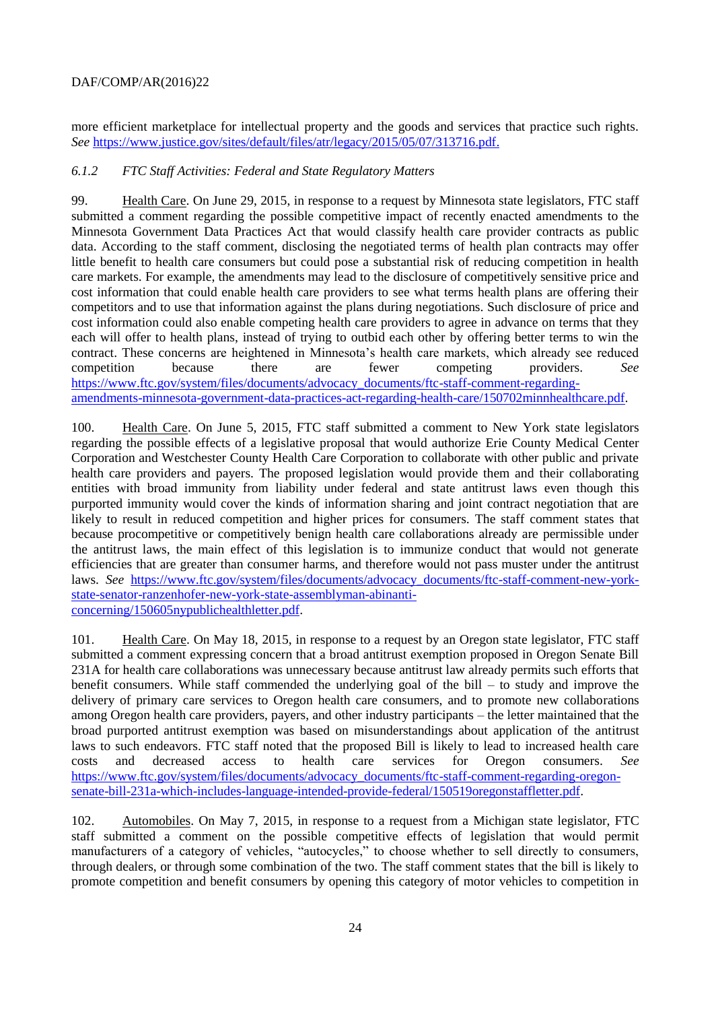more efficient marketplace for intellectual property and the goods and services that practice such rights. *See* [https://www.justice.gov/sites/default/files/atr/legacy/2015/05/07/313716.pdf.](https://www.justice.gov/sites/default/files/atr/legacy/2015/05/07/313716.pdf)

## *6.1.2 FTC Staff Activities: Federal and State Regulatory Matters*

99. Health Care. On June 29, 2015, in response to a request by Minnesota state legislators, FTC staff submitted a comment regarding the possible competitive impact of recently enacted amendments to the Minnesota Government Data Practices Act that would classify health care provider contracts as public data. According to the staff comment, disclosing the negotiated terms of health plan contracts may offer little benefit to health care consumers but could pose a substantial risk of reducing competition in health care markets. For example, the amendments may lead to the disclosure of competitively sensitive price and cost information that could enable health care providers to see what terms health plans are offering their competitors and to use that information against the plans during negotiations. Such disclosure of price and cost information could also enable competing health care providers to agree in advance on terms that they each will offer to health plans, instead of trying to outbid each other by offering better terms to win the contract. These concerns are heightened in Minnesota's health care markets, which already see reduced competition because there are fewer competing providers. *See* [https://www.ftc.gov/system/files/documents/advocacy\\_documents/ftc-staff-comment-regarding](https://www.ftc.gov/system/files/documents/advocacy_documents/ftc-staff-comment-regarding-amendments-minnesota-government-data-practices-act-regarding-health-care/150702minnhealthcare.pdf)[amendments-minnesota-government-data-practices-act-regarding-health-care/150702minnhealthcare.pdf.](https://www.ftc.gov/system/files/documents/advocacy_documents/ftc-staff-comment-regarding-amendments-minnesota-government-data-practices-act-regarding-health-care/150702minnhealthcare.pdf)

100. Health Care. On June 5, 2015, FTC staff submitted a comment to New York state legislators regarding the possible effects of a legislative proposal that would authorize Erie County Medical Center Corporation and Westchester County Health Care Corporation to collaborate with other public and private health care providers and payers. The proposed legislation would provide them and their collaborating entities with broad immunity from liability under federal and state antitrust laws even though this purported immunity would cover the kinds of information sharing and joint contract negotiation that are likely to result in reduced competition and higher prices for consumers. The staff comment states that because procompetitive or competitively benign health care collaborations already are permissible under the antitrust laws, the main effect of this legislation is to immunize conduct that would not generate efficiencies that are greater than consumer harms, and therefore would not pass muster under the antitrust laws. *See* [https://www.ftc.gov/system/files/documents/advocacy\\_documents/ftc-staff-comment-new-york](https://www.ftc.gov/system/files/documents/advocacy_documents/ftc-staff-comment-new-york-state-senator-ranzenhofer-new-york-state-assemblyman-abinanti-concerning/150605nypublichealthletter.pdf)[state-senator-ranzenhofer-new-york-state-assemblyman-abinanti](https://www.ftc.gov/system/files/documents/advocacy_documents/ftc-staff-comment-new-york-state-senator-ranzenhofer-new-york-state-assemblyman-abinanti-concerning/150605nypublichealthletter.pdf)[concerning/150605nypublichealthletter.pdf.](https://www.ftc.gov/system/files/documents/advocacy_documents/ftc-staff-comment-new-york-state-senator-ranzenhofer-new-york-state-assemblyman-abinanti-concerning/150605nypublichealthletter.pdf)

101. Health Care. On May 18, 2015, in response to a request by an Oregon state legislator, FTC staff submitted a comment expressing concern that a broad antitrust exemption proposed in Oregon Senate Bill 231A for health care collaborations was unnecessary because antitrust law already permits such efforts that benefit consumers. While staff commended the underlying goal of the bill – to study and improve the delivery of primary care services to Oregon health care consumers, and to promote new collaborations among Oregon health care providers, payers, and other industry participants – the letter maintained that the broad purported antitrust exemption was based on misunderstandings about application of the antitrust laws to such endeavors. FTC staff noted that the proposed Bill is likely to lead to increased health care costs and decreased access to health care services for Oregon consumers. *See* [https://www.ftc.gov/system/files/documents/advocacy\\_documents/ftc-staff-comment-regarding-oregon](https://www.ftc.gov/system/files/documents/advocacy_documents/ftc-staff-comment-regarding-oregon-senate-bill-231a-which-includes-language-intended-provide-federal/150519oregonstaffletter.pdf)[senate-bill-231a-which-includes-language-intended-provide-federal/150519oregonstaffletter.pdf.](https://www.ftc.gov/system/files/documents/advocacy_documents/ftc-staff-comment-regarding-oregon-senate-bill-231a-which-includes-language-intended-provide-federal/150519oregonstaffletter.pdf)

102. Automobiles. On May 7, 2015, in response to a request from a Michigan state legislator, FTC staff submitted a comment on the possible competitive effects of legislation that would permit manufacturers of a category of vehicles, "autocycles," to choose whether to sell directly to consumers, through dealers, or through some combination of the two. The staff comment states that the bill is likely to promote competition and benefit consumers by opening this category of motor vehicles to competition in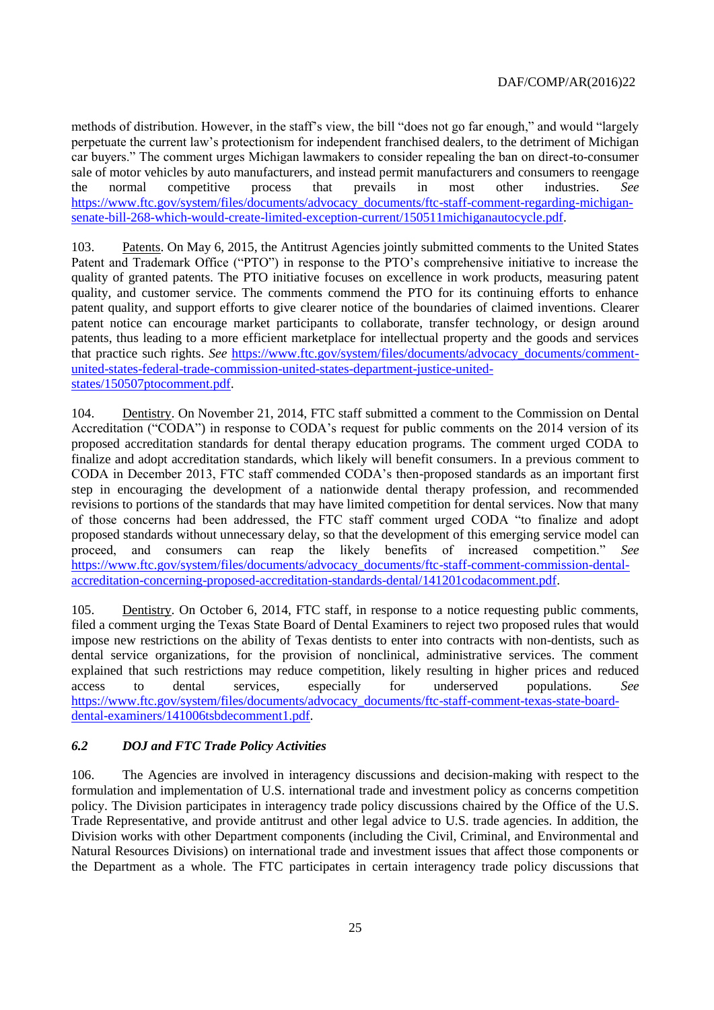methods of distribution. However, in the staff's view, the bill "does not go far enough," and would "largely perpetuate the current law's protectionism for independent franchised dealers, to the detriment of Michigan car buyers." The comment urges Michigan lawmakers to consider repealing the ban on direct-to-consumer sale of motor vehicles by auto manufacturers, and instead permit manufacturers and consumers to reengage the normal competitive process that prevails in most other industries. *See* [https://www.ftc.gov/system/files/documents/advocacy\\_documents/ftc-staff-comment-regarding-michigan](https://www.ftc.gov/system/files/documents/advocacy_documents/ftc-staff-comment-regarding-michigan-senate-bill-268-which-would-create-limited-exception-current/150511michiganautocycle.pdf)[senate-bill-268-which-would-create-limited-exception-current/150511michiganautocycle.pdf.](https://www.ftc.gov/system/files/documents/advocacy_documents/ftc-staff-comment-regarding-michigan-senate-bill-268-which-would-create-limited-exception-current/150511michiganautocycle.pdf)

103. Patents. On May 6, 2015, the Antitrust Agencies jointly submitted comments to the United States Patent and Trademark Office ("PTO") in response to the PTO's comprehensive initiative to increase the quality of granted patents. The PTO initiative focuses on excellence in work products, measuring patent quality, and customer service. The comments commend the PTO for its continuing efforts to enhance patent quality, and support efforts to give clearer notice of the boundaries of claimed inventions. Clearer patent notice can encourage market participants to collaborate, transfer technology, or design around patents, thus leading to a more efficient marketplace for intellectual property and the goods and services that practice such rights. *See* [https://www.ftc.gov/system/files/documents/advocacy\\_documents/comment](https://www.ftc.gov/system/files/documents/advocacy_documents/comment-united-states-federal-trade-commission-united-states-department-justice-united-states/150507ptocomment.pdf)[united-states-federal-trade-commission-united-states-department-justice-united](https://www.ftc.gov/system/files/documents/advocacy_documents/comment-united-states-federal-trade-commission-united-states-department-justice-united-states/150507ptocomment.pdf)[states/150507ptocomment.pdf.](https://www.ftc.gov/system/files/documents/advocacy_documents/comment-united-states-federal-trade-commission-united-states-department-justice-united-states/150507ptocomment.pdf)

104. Dentistry. On November 21, 2014, FTC staff submitted a comment to the Commission on Dental Accreditation ("CODA") in response to CODA's request for public comments on the 2014 version of its proposed accreditation standards for dental therapy education programs. The comment urged CODA to finalize and adopt accreditation standards, which likely will benefit consumers. In a previous comment to CODA in December 2013, FTC staff commended CODA's then-proposed standards as an important first step in encouraging the development of a nationwide dental therapy profession, and recommended revisions to portions of the standards that may have limited competition for dental services. Now that many of those concerns had been addressed, the FTC staff comment urged CODA "to finalize and adopt proposed standards without unnecessary delay, so that the development of this emerging service model can proceed, and consumers can reap the likely benefits of increased competition." *See* [https://www.ftc.gov/system/files/documents/advocacy\\_documents/ftc-staff-comment-commission-dental](https://www.ftc.gov/system/files/documents/advocacy_documents/ftc-staff-comment-commission-dental-accreditation-concerning-proposed-accreditation-standards-dental/141201codacomment.pdf)[accreditation-concerning-proposed-accreditation-standards-dental/141201codacomment.pdf.](https://www.ftc.gov/system/files/documents/advocacy_documents/ftc-staff-comment-commission-dental-accreditation-concerning-proposed-accreditation-standards-dental/141201codacomment.pdf)

105. Dentistry. On October 6, 2014, FTC staff, in response to a notice requesting public comments, filed a comment urging the Texas State Board of Dental Examiners to reject two proposed rules that would impose new restrictions on the ability of Texas dentists to enter into contracts with non-dentists, such as dental service organizations, for the provision of nonclinical, administrative services. The comment explained that such restrictions may reduce competition, likely resulting in higher prices and reduced access to dental services, especially for underserved populations. *See* [https://www.ftc.gov/system/files/documents/advocacy\\_documents/ftc-staff-comment-texas-state-board](https://www.ftc.gov/system/files/documents/advocacy_documents/ftc-staff-comment-texas-state-board-dental-examiners/141006tsbdecomment1.pdf)[dental-examiners/141006tsbdecomment1.pdf.](https://www.ftc.gov/system/files/documents/advocacy_documents/ftc-staff-comment-texas-state-board-dental-examiners/141006tsbdecomment1.pdf)

# <span id="page-24-0"></span>*6.2 DOJ and FTC Trade Policy Activities*

106. The Agencies are involved in interagency discussions and decision-making with respect to the formulation and implementation of U.S. international trade and investment policy as concerns competition policy. The Division participates in interagency trade policy discussions chaired by the Office of the U.S. Trade Representative, and provide antitrust and other legal advice to U.S. trade agencies. In addition, the Division works with other Department components (including the Civil, Criminal, and Environmental and Natural Resources Divisions) on international trade and investment issues that affect those components or the Department as a whole. The FTC participates in certain interagency trade policy discussions that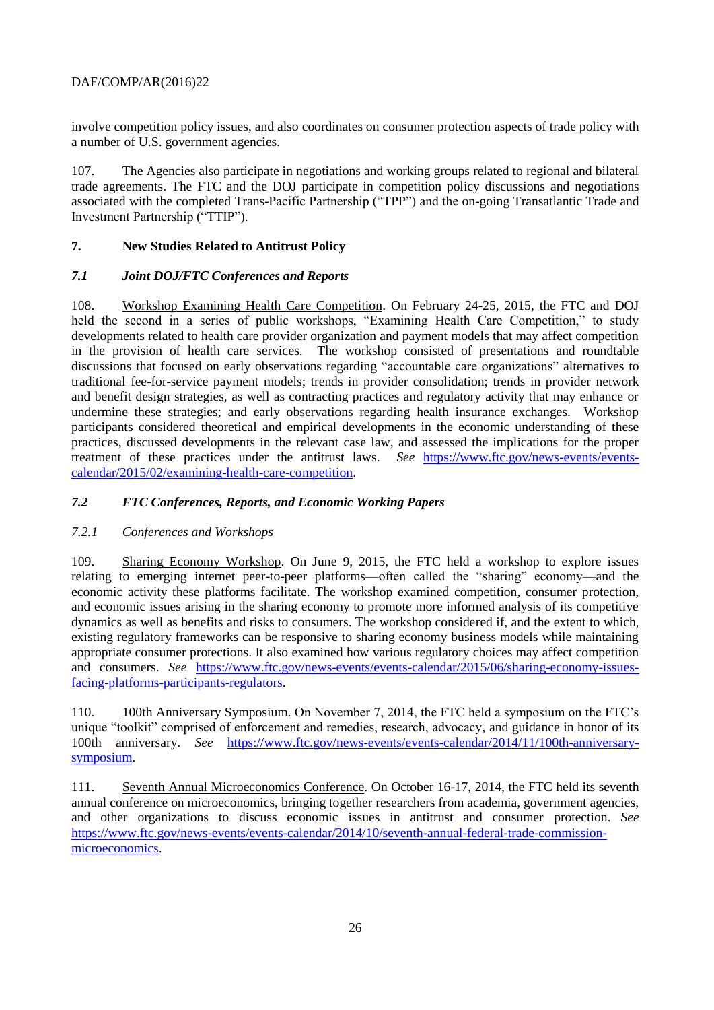involve competition policy issues, and also coordinates on consumer protection aspects of trade policy with a number of U.S. government agencies.

107. The Agencies also participate in negotiations and working groups related to regional and bilateral trade agreements. The FTC and the DOJ participate in competition policy discussions and negotiations associated with the completed Trans-Pacific Partnership ("TPP") and the on-going Transatlantic Trade and Investment Partnership ("TTIP").

# <span id="page-25-0"></span>**7. New Studies Related to Antitrust Policy**

#### <span id="page-25-1"></span>*7.1 Joint DOJ/FTC Conferences and Reports*

108. Workshop Examining Health Care Competition. On February 24-25, 2015, the FTC and DOJ held the second in a series of public workshops, "Examining Health Care Competition," to study developments related to health care provider organization and payment models that may affect competition in the provision of health care services. The workshop consisted of presentations and roundtable discussions that focused on early observations regarding "accountable care organizations" alternatives to traditional fee-for-service payment models; trends in provider consolidation; trends in provider network and benefit design strategies, as well as contracting practices and regulatory activity that may enhance or undermine these strategies; and early observations regarding health insurance exchanges. Workshop participants considered theoretical and empirical developments in the economic understanding of these practices, discussed developments in the relevant case law, and assessed the implications for the proper treatment of these practices under the antitrust laws. *See* [https://www.ftc.gov/news-events/events](https://www.ftc.gov/news-events/events-calendar/2015/02/examining-health-care-competition)[calendar/2015/02/examining-health-care-competition.](https://www.ftc.gov/news-events/events-calendar/2015/02/examining-health-care-competition)

# <span id="page-25-2"></span>*7.2 FTC Conferences, Reports, and Economic Working Papers*

# *7.2.1 Conferences and Workshops*

109. Sharing Economy Workshop. On June 9, 2015, the FTC held a workshop to explore issues relating to emerging internet peer-to-peer platforms—often called the "sharing" economy—and the economic activity these platforms facilitate. The workshop examined competition, consumer protection, and economic issues arising in the sharing economy to promote more informed analysis of its competitive dynamics as well as benefits and risks to consumers. The workshop considered if, and the extent to which, existing regulatory frameworks can be responsive to sharing economy business models while maintaining appropriate consumer protections. It also examined how various regulatory choices may affect competition and consumers. *See* [https://www.ftc.gov/news-events/events-calendar/2015/06/sharing-economy-issues](https://www.ftc.gov/news-events/events-calendar/2015/06/sharing-economy-issues-facing-platforms-participants-regulators)[facing-platforms-participants-regulators.](https://www.ftc.gov/news-events/events-calendar/2015/06/sharing-economy-issues-facing-platforms-participants-regulators)

110. 100th Anniversary Symposium. On November 7, 2014, the FTC held a symposium on the FTC's unique "toolkit" comprised of enforcement and remedies, research, advocacy, and guidance in honor of its 100th anniversary. *See* [https://www.ftc.gov/news-events/events-calendar/2014/11/100th-anniversary](https://www.ftc.gov/news-events/events-calendar/2014/11/100th-anniversary-symposium)[symposium.](https://www.ftc.gov/news-events/events-calendar/2014/11/100th-anniversary-symposium) 

111. Seventh Annual Microeconomics Conference. On October 16-17, 2014, the FTC held its seventh annual conference on microeconomics, bringing together researchers from academia, government agencies, and other organizations to discuss economic issues in antitrust and consumer protection. *See* [https://www.ftc.gov/news-events/events-calendar/2014/10/seventh-annual-federal-trade-commission](https://www.ftc.gov/news-events/events-calendar/2014/10/seventh-annual-federal-trade-commission-microeconomics)[microeconomics.](https://www.ftc.gov/news-events/events-calendar/2014/10/seventh-annual-federal-trade-commission-microeconomics)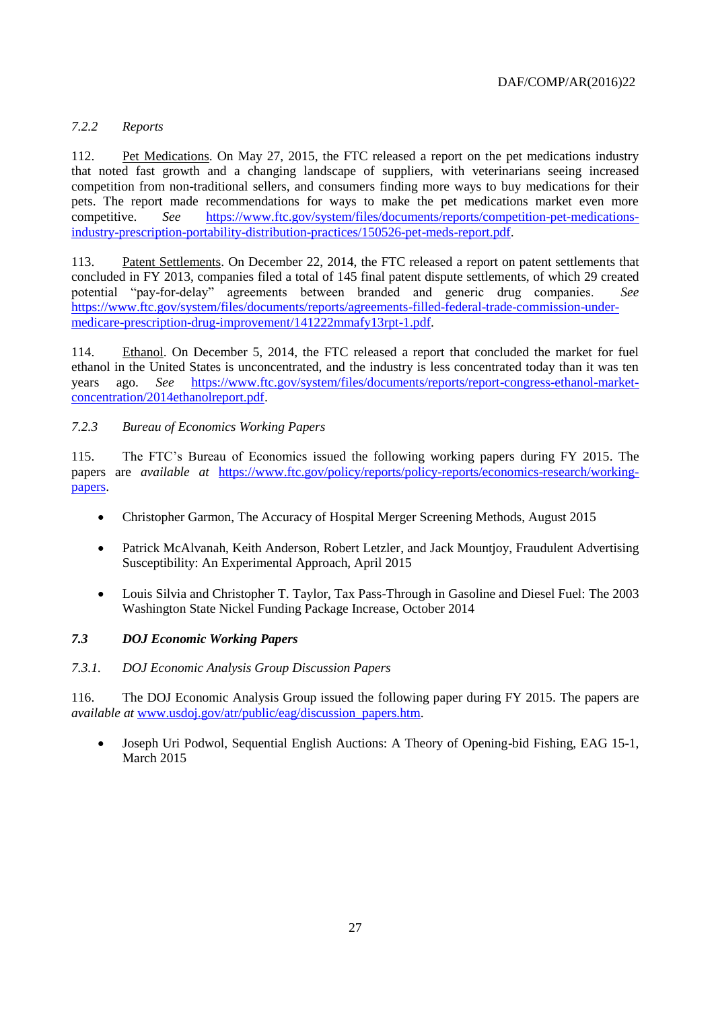# *7.2.2 Reports*

112. Pet Medications. On May 27, 2015, the FTC released a report on the pet medications industry that noted fast growth and a changing landscape of suppliers, with veterinarians seeing increased competition from non-traditional sellers, and consumers finding more ways to buy medications for their pets. The report made recommendations for ways to make the pet medications market even more competitive. *See* [https://www.ftc.gov/system/files/documents/reports/competition-pet-medications](https://www.ftc.gov/system/files/documents/reports/competition-pet-medications-industry-prescription-portability-distribution-practices/150526-pet-meds-report.pdf)[industry-prescription-portability-distribution-practices/150526-pet-meds-report.pdf.](https://www.ftc.gov/system/files/documents/reports/competition-pet-medications-industry-prescription-portability-distribution-practices/150526-pet-meds-report.pdf)

113. Patent Settlements. On December 22, 2014, the FTC released a report on patent settlements that concluded in FY 2013, companies filed a total of 145 final patent dispute settlements, of which 29 created potential "pay-for-delay" agreements between branded and generic drug companies. *See* [https://www.ftc.gov/system/files/documents/reports/agreements-filled-federal-trade-commission-under](https://www.ftc.gov/system/files/documents/reports/agreements-filled-federal-trade-commission-under-medicare-prescription-drug-improvement/141222mmafy13rpt-1.pdf)[medicare-prescription-drug-improvement/141222mmafy13rpt-1.pdf.](https://www.ftc.gov/system/files/documents/reports/agreements-filled-federal-trade-commission-under-medicare-prescription-drug-improvement/141222mmafy13rpt-1.pdf)

114. Ethanol. On December 5, 2014, the FTC released a report that concluded the market for fuel ethanol in the United States is unconcentrated, and the industry is less concentrated today than it was ten years ago. *See* [https://www.ftc.gov/system/files/documents/reports/report-congress-ethanol-market](https://www.ftc.gov/system/files/documents/reports/report-congress-ethanol-market-concentration/2014ethanolreport.pdf)[concentration/2014ethanolreport.pdf.](https://www.ftc.gov/system/files/documents/reports/report-congress-ethanol-market-concentration/2014ethanolreport.pdf)

#### *7.2.3 Bureau of Economics Working Papers*

115. The FTC's Bureau of Economics issued the following working papers during FY 2015. The papers are *available at* [https://www.ftc.gov/policy/reports/policy-reports/economics-research/working](https://www.ftc.gov/policy/reports/policy-reports/economics-research/working-papers)[papers.](https://www.ftc.gov/policy/reports/policy-reports/economics-research/working-papers)

- Christopher Garmon, The Accuracy of Hospital Merger Screening Methods, August 2015
- Patrick McAlvanah, Keith Anderson, Robert Letzler, and Jack Mountjoy, Fraudulent Advertising Susceptibility: An Experimental Approach, April 2015
- Louis Silvia and Christopher T. Taylor, Tax Pass-Through in Gasoline and Diesel Fuel: The 2003 Washington State Nickel Funding Package Increase, October 2014

# <span id="page-26-0"></span>*7.3 DOJ Economic Working Papers*

#### *7.3.1. DOJ Economic Analysis Group Discussion Papers*

116. The DOJ Economic Analysis Group issued the following paper during FY 2015. The papers are *available at* [www.usdoj.gov/atr/public/eag/discussion\\_papers.htm.](http://www.usdoj.gov/atr/public/eag/discussion_papers.htm)

 Joseph Uri Podwol, Sequential English Auctions: A Theory of Opening-bid Fishing, EAG 15-1, March 2015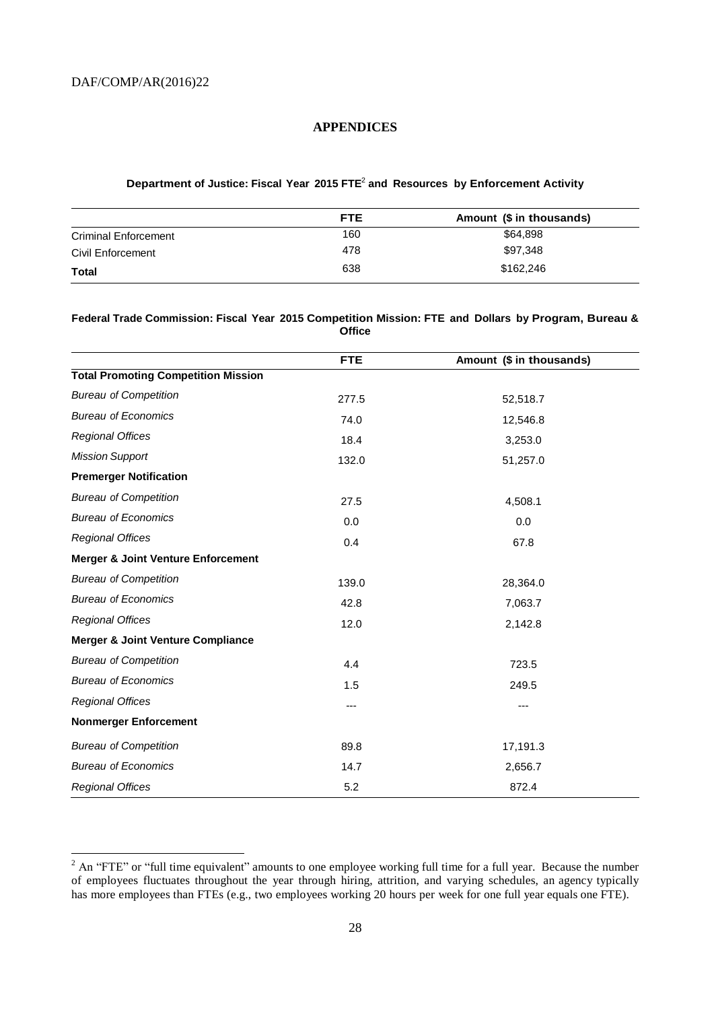l

#### <span id="page-27-0"></span>**APPENDICES**

#### **Department of Justice: Fiscal Year 2015 FTE** 2 **and Resources by Enforcement Activity**

|                             | <b>FTE</b> | Amount (\$ in thousands) |
|-----------------------------|------------|--------------------------|
| <b>Criminal Enforcement</b> | 160        | \$64.898                 |
| Civil Enforcement           | 478        | \$97.348                 |
| Total                       | 638        | \$162,246                |

#### **Federal Trade Commission: Fiscal Year 2015 Competition Mission: FTE and Dollars by Program, Bureau & Office**

|                                               | <b>FTE</b> | Amount (\$ in thousands) |
|-----------------------------------------------|------------|--------------------------|
| <b>Total Promoting Competition Mission</b>    |            |                          |
| <b>Bureau of Competition</b>                  | 277.5      | 52,518.7                 |
| <b>Bureau of Economics</b>                    | 74.0       | 12,546.8                 |
| <b>Regional Offices</b>                       | 18.4       | 3,253.0                  |
| <b>Mission Support</b>                        | 132.0      | 51,257.0                 |
| <b>Premerger Notification</b>                 |            |                          |
| <b>Bureau of Competition</b>                  | 27.5       | 4,508.1                  |
| <b>Bureau of Economics</b>                    | 0.0        | 0.0                      |
| <b>Regional Offices</b>                       | 0.4        | 67.8                     |
| <b>Merger &amp; Joint Venture Enforcement</b> |            |                          |
| <b>Bureau of Competition</b>                  | 139.0      | 28,364.0                 |
| <b>Bureau of Economics</b>                    | 42.8       | 7,063.7                  |
| <b>Regional Offices</b>                       | 12.0       | 2,142.8                  |
| <b>Merger &amp; Joint Venture Compliance</b>  |            |                          |
| <b>Bureau of Competition</b>                  | 4.4        | 723.5                    |
| <b>Bureau of Economics</b>                    | 1.5        | 249.5                    |
| <b>Regional Offices</b>                       | ---        | ---                      |
| <b>Nonmerger Enforcement</b>                  |            |                          |
| <b>Bureau of Competition</b>                  | 89.8       | 17,191.3                 |
| <b>Bureau of Economics</b>                    | 14.7       | 2,656.7                  |
| <b>Regional Offices</b>                       | 5.2        | 872.4                    |

 $2$  An "FTE" or "full time equivalent" amounts to one employee working full time for a full year. Because the number of employees fluctuates throughout the year through hiring, attrition, and varying schedules, an agency typically has more employees than FTEs (e.g., two employees working 20 hours per week for one full year equals one FTE).